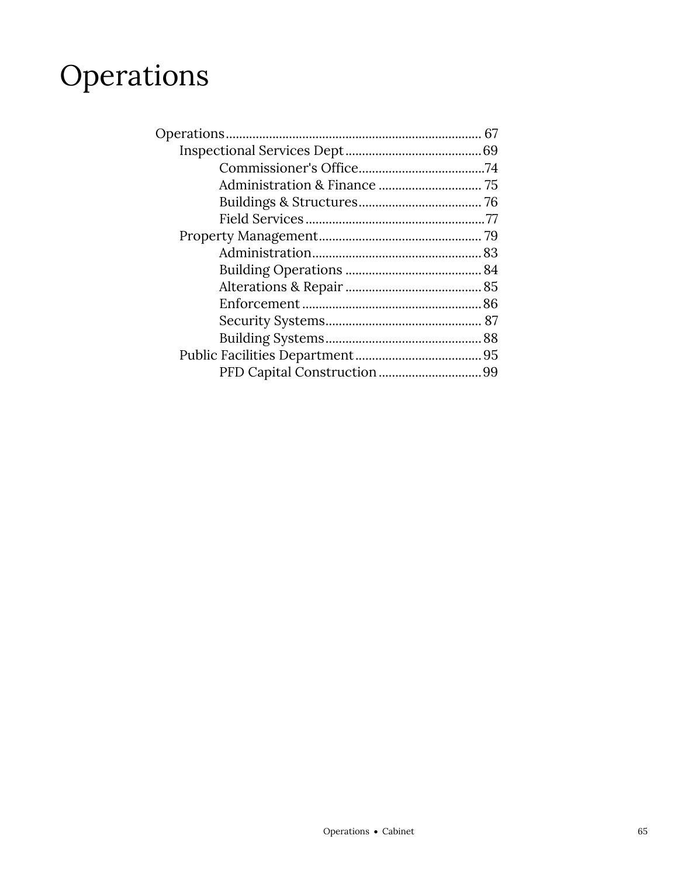# Operations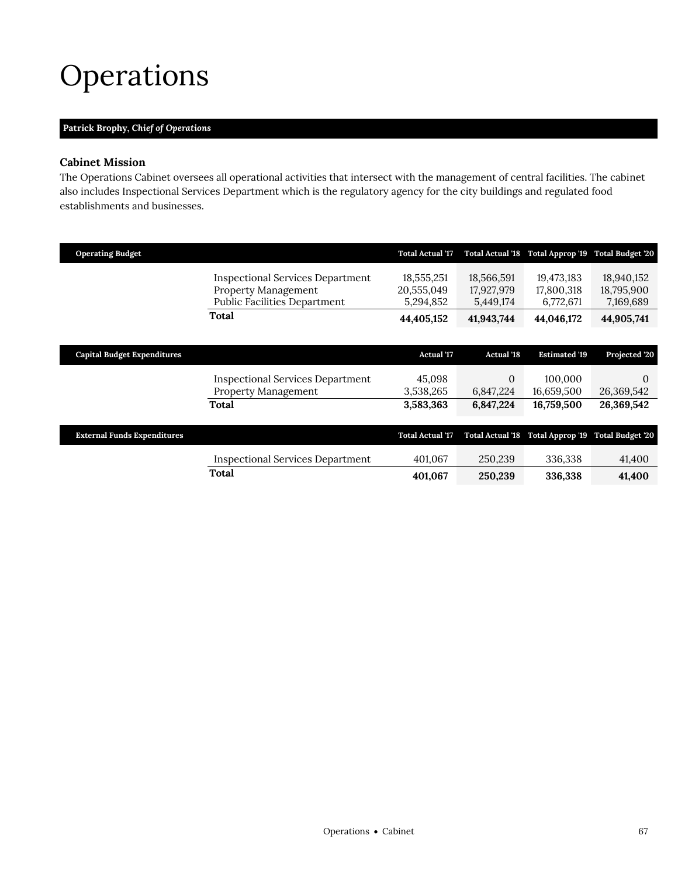## <span id="page-2-0"></span>Operations

### **Patrick Brophy,** *Chief of Operations*

### **Cabinet Mission**

The Operations Cabinet oversees all operational activities that intersect with the management of central facilities. The cabinet also includes Inspectional Services Department which is the regulatory agency for the city buildings and regulated food establishments and businesses.

| <b>Operating Budget</b>            |                                                                                                              | <b>Total Actual '17</b>               |                                       | Total Actual '18 Total Approp '19     | <b>Total Budget '20</b>               |
|------------------------------------|--------------------------------------------------------------------------------------------------------------|---------------------------------------|---------------------------------------|---------------------------------------|---------------------------------------|
|                                    | <b>Inspectional Services Department</b><br><b>Property Management</b><br><b>Public Facilities Department</b> | 18,555,251<br>20,555,049<br>5,294,852 | 18,566,591<br>17,927,979<br>5,449,174 | 19,473,183<br>17,800,318<br>6,772,671 | 18,940,152<br>18,795,900<br>7,169,689 |
|                                    | Total                                                                                                        | 44,405,152                            | 41,943,744                            | 44,046,172                            | 44,905,741                            |
|                                    |                                                                                                              |                                       |                                       |                                       |                                       |
| <b>Capital Budget Expenditures</b> |                                                                                                              | <b>Actual '17</b>                     | <b>Actual '18</b>                     | <b>Estimated '19</b>                  | Projected '20                         |
|                                    | <b>Inspectional Services Department</b><br>Property Management                                               | 45,098<br>3,538,265                   | $\theta$<br>6,847,224                 | 100,000<br>16,659,500                 | $\Omega$<br>26,369,542                |
|                                    | Total                                                                                                        | 3,583,363                             | 6,847,224                             | 16,759,500                            | 26,369,542                            |
|                                    |                                                                                                              |                                       |                                       |                                       |                                       |
| <b>External Funds Expenditures</b> |                                                                                                              | <b>Total Actual '17</b>               | <b>Total Actual '18</b>               | Total Approp '19 Total Budget '20     |                                       |
|                                    | <b>Inspectional Services Department</b>                                                                      | 401,067                               | 250,239                               | 336,338                               | 41,400                                |
|                                    | Total                                                                                                        | 401,067                               | 250,239                               | 336,338                               | 41,400                                |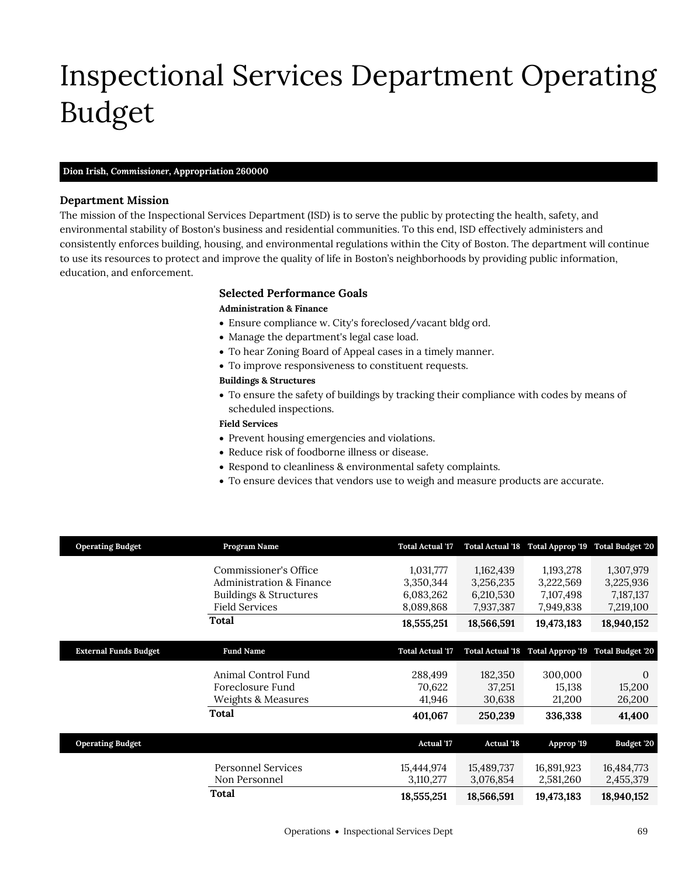# <span id="page-4-0"></span>Inspectional Services Department Operating Budget

#### **Dion Irish,** *Commissioner,* **Appropriation 260000**

#### **Department Mission**

Inspectional Services Dept

The mission of the Inspectional Services Department (ISD) is to serve the public by protecting the health, safety, and environmental stability of Boston's business and residential communities. To this end, ISD effectively administers and consistently enforces building, housing, and environmental regulations within the City of Boston. The department will continue to use its resources to protect and improve the quality of life in Boston's neighborhoods by providing public information, education, and enforcement.

#### **Selected Performance Goals**

#### **Administration & Finance**

- Ensure compliance w. City's foreclosed/vacant bldg ord.
- Manage the department's legal case load.
- To hear Zoning Board of Appeal cases in a timely manner.
- To improve responsiveness to constituent requests.

#### **Buildings & Structures**

 To ensure the safety of buildings by tracking their compliance with codes by means of scheduled inspections.

#### **Field Services**

- Prevent housing emergencies and violations.
- Reduce risk of foodborne illness or disease.
- Respond to cleanliness & environmental safety complaints.
- To ensure devices that vendors use to weigh and measure products are accurate.

| <b>Operating Budget</b>      | Program Name                        | <b>Total Actual '17</b> |                         | Total Actual '18 Total Approp '19 | <b>Total Budget '20</b> |
|------------------------------|-------------------------------------|-------------------------|-------------------------|-----------------------------------|-------------------------|
|                              | Commissioner's Office               | 1,031,777               | 1,162,439               | 1,193,278                         | 1,307,979               |
|                              | <b>Administration &amp; Finance</b> | 3,350,344               | 3,256,235               | 3,222,569                         | 3,225,936               |
|                              | <b>Buildings &amp; Structures</b>   | 6,083,262               | 6,210,530               | 7,107,498                         | 7,187,137               |
|                              | <b>Field Services</b>               | 8,089,868               | 7,937,387               | 7,949,838                         | 7,219,100               |
|                              |                                     |                         |                         |                                   |                         |
|                              | Total                               | 18,555,251              | 18,566,591              | 19,473,183                        | 18,940,152              |
|                              |                                     |                         |                         |                                   |                         |
| <b>External Funds Budget</b> | <b>Fund Name</b>                    | <b>Total Actual '17</b> | <b>Total Actual '18</b> | Total Approp '19                  | <b>Total Budget '20</b> |
|                              |                                     |                         |                         |                                   |                         |
|                              | Animal Control Fund                 | 288,499                 | 182,350                 | 300,000                           | $\Omega$                |
|                              | Foreclosure Fund                    | 70,622                  | 37,251                  | 15,138                            | 15,200                  |
|                              | Weights & Measures                  | 41,946                  | 30,638                  | 21,200                            | 26,200                  |
|                              | <b>Total</b>                        | 401,067                 | 250,239                 | 336,338                           | 41,400                  |
|                              |                                     |                         |                         |                                   |                         |
| <b>Operating Budget</b>      |                                     | <b>Actual '17</b>       | <b>Actual '18</b>       | Approp '19                        | Budget '20              |
|                              | <b>Personnel Services</b>           | 15,444,974              | 15,489,737              | 16,891,923                        | 16,484,773              |
|                              | Non Personnel                       | 3,110,277               | 3,076,854               | 2,581,260                         | 2,455,379               |
|                              | Total                               | 18,555,251              | 18,566,591              | 19,473,183                        | 18,940,152              |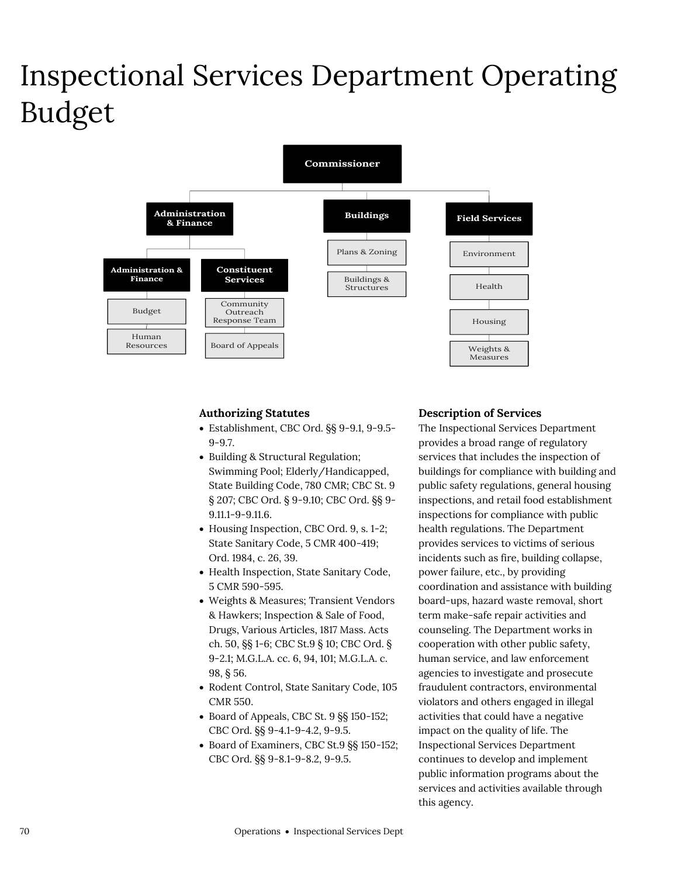## Inspectional Services Department Operating Budget



#### **Authorizing Statutes**

- Establishment, CBC Ord. §§ 9-9.1, 9-9.5- 9-9.7.
- Building & Structural Regulation; Swimming Pool; Elderly/Handicapped, State Building Code, 780 CMR; CBC St. 9 § 207; CBC Ord. § 9-9.10; CBC Ord. §§ 9- 9.11.1-9-9.11.6.
- Housing Inspection, CBC Ord. 9, s. 1-2; State Sanitary Code, 5 CMR 400-419; Ord. 1984, c. 26, 39.
- Health Inspection, State Sanitary Code, 5 CMR 590-595.
- Weights & Measures; Transient Vendors & Hawkers; Inspection & Sale of Food, Drugs, Various Articles, 1817 Mass. Acts ch. 50, §§ 1-6; CBC St.9 § 10; CBC Ord. § 9-2.1; M.G.L.A. cc. 6, 94, 101; M.G.L.A. c. 98, § 56.
- Rodent Control, State Sanitary Code, 105 CMR 550.
- Board of Appeals, CBC St. 9 §§ 150-152; CBC Ord. §§ 9-4.1-9-4.2, 9-9.5.
- Board of Examiners, CBC St.9  $\S$  150-152; CBC Ord. §§ 9-8.1-9-8.2, 9-9.5.

#### **Description of Services**

The Inspectional Services Department provides a broad range of regulatory services that includes the inspection of buildings for compliance with building and public safety regulations, general housing inspections, and retail food establishment inspections for compliance with public health regulations. The Department provides services to victims of serious incidents such as fire, building collapse, power failure, etc., by providing coordination and assistance with building board-ups, hazard waste removal, short term make-safe repair activities and counseling. The Department works in cooperation with other public safety, human service, and law enforcement agencies to investigate and prosecute fraudulent contractors, environmental violators and others engaged in illegal activities that could have a negative impact on the quality of life. The Inspectional Services Department continues to develop and implement public information programs about the services and activities available through this agency.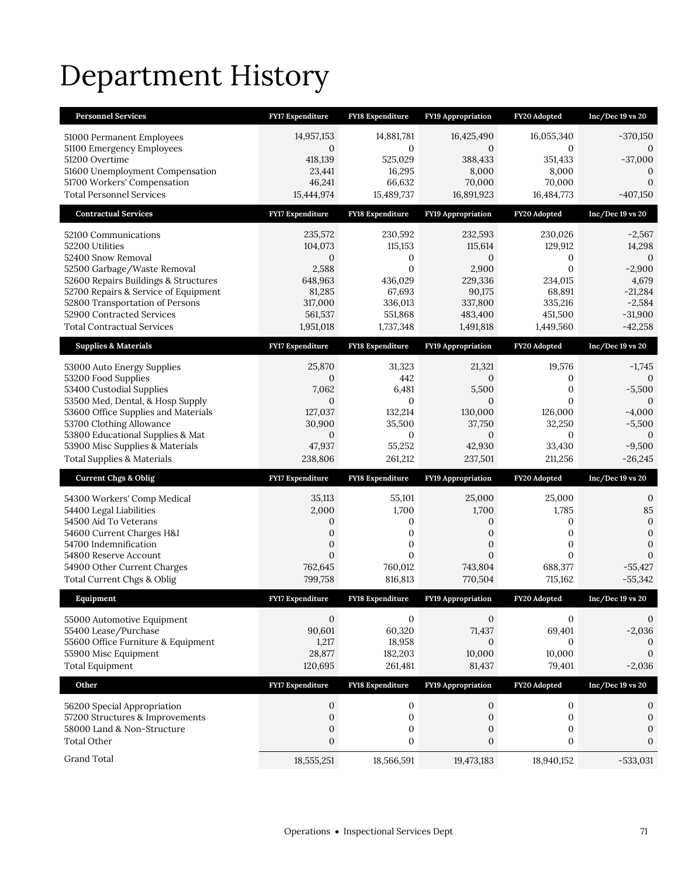# Department History

| <b>Personnel Services</b>                                                    | <b>FY17 Expenditure</b>        | <b>FY18 Expenditure</b>        | <b>FY19 Appropriation</b>      | FY20 Adopted                   | $Inc/Dec 19$ vs $20$           |
|------------------------------------------------------------------------------|--------------------------------|--------------------------------|--------------------------------|--------------------------------|--------------------------------|
| 51000 Permanent Employees                                                    | 14,957,153                     | 14,881,781                     | 16,425,490                     | 16,055,340                     | $-370,150$                     |
| 51100 Emergency Employees                                                    | $\mathbf{0}$                   | $\mathbf{0}$                   | $\mathbf{0}$                   | 0                              | 0                              |
| 51200 Overtime<br>51600 Unemployment Compensation                            | 418,139<br>23,441              | 525,029<br>16,295              | 388,433<br>8,000               | 351,433<br>8,000               | $-37,000$<br>$\boldsymbol{0}$  |
| 51700 Workers' Compensation                                                  | 46,241                         | 66,632                         | 70,000                         | 70,000                         | $\mathbf{0}$                   |
| <b>Total Personnel Services</b>                                              | 15,444,974                     | 15,489,737                     | 16,891,923                     | 16,484,773                     | $-407,150$                     |
| <b>Contractual Services</b>                                                  | FY17 Expenditure               | FY18 Expenditure               | FY19 Appropriation             | FY20 Adopted                   | $Inc/Dec 19$ vs $20$           |
| 52100 Communications                                                         | 235,572                        | 230,592                        | 232,593                        | 230,026                        | $-2,567$                       |
| 52200 Utilities                                                              | 104,073                        | 115,153                        | 115,614                        | 129,912                        | 14,298                         |
| 52400 Snow Removal                                                           | $\mathbf{0}$                   | 0                              | $\mathbf{0}$                   | 0                              | $\mathbf{0}$                   |
| 52500 Garbage/Waste Removal                                                  | 2,588                          | $\overline{0}$                 | 2,900                          | $\mathbf{0}$                   | $-2,900$                       |
| 52600 Repairs Buildings & Structures<br>52700 Repairs & Service of Equipment | 648,963<br>81,285              | 436,029<br>67,693              | 229,336<br>90,175              | 234,015<br>68,891              | 4,679<br>$-21,284$             |
| 52800 Transportation of Persons                                              | 317,000                        | 336,013                        | 337,800                        | 335,216                        | $-2,584$                       |
| 52900 Contracted Services                                                    | 561,537                        | 551,868                        | 483,400                        | 451,500                        | $-31,900$                      |
| <b>Total Contractual Services</b>                                            | 1,951,018                      | 1,737,348                      | 1,491,818                      | 1,449,560                      | $-42,258$                      |
| <b>Supplies &amp; Materials</b>                                              | <b>FY17 Expenditure</b>        | <b>FY18 Expenditure</b>        | <b>FY19 Appropriation</b>      | FY20 Adopted                   | $Inc/Dec 19$ vs $20$           |
| 53000 Auto Energy Supplies                                                   | 25,870                         | 31,323                         | 21,321                         | 19,576                         | $-1,745$                       |
| 53200 Food Supplies                                                          | 0                              | 442                            | $\boldsymbol{0}$               | 0                              | $\Omega$                       |
| 53400 Custodial Supplies                                                     | 7,062                          | 6,481                          | 5,500                          | $\boldsymbol{0}$               | $-5,500$                       |
| 53500 Med, Dental, & Hosp Supply<br>53600 Office Supplies and Materials      | $\overline{0}$<br>127,037      | $\mathbf{0}$<br>132,214        | $\overline{0}$<br>130,000      | $\Omega$<br>126,000            | 0<br>$-4,000$                  |
| 53700 Clothing Allowance                                                     | 30,900                         | 35,500                         | 37,750                         | 32,250                         | $-5,500$                       |
| 53800 Educational Supplies & Mat                                             | 0                              | $\mathbf{0}$                   | $\mathbf{0}$                   | 0                              | $\mathbf{0}$                   |
|                                                                              |                                |                                |                                |                                |                                |
| 53900 Misc Supplies & Materials                                              | 47,937                         | 55,252                         | 42,930                         | 33,430                         | $-9,500$                       |
| <b>Total Supplies &amp; Materials</b>                                        | 238,806                        | 261,212                        | 237,501                        | 211,256                        | $-26,245$                      |
| <b>Current Chgs &amp; Oblig</b>                                              | <b>FY17 Expenditure</b>        | <b>FY18 Expenditure</b>        | <b>FY19 Appropriation</b>      | FY20 Adopted                   | $Inc/Dec 19$ vs $20$           |
|                                                                              | 35,113                         | 55,101                         | 25,000                         | 25,000                         | $\mathbf{0}$                   |
| 54300 Workers' Comp Medical<br>54400 Legal Liabilities                       | 2,000                          | 1,700                          | 1,700                          | 1,785                          | 85                             |
| 54500 Aid To Veterans                                                        | 0                              | 0                              | 0                              | 0                              | $\boldsymbol{0}$               |
| 54600 Current Charges H&I                                                    | $\mathbf{0}$                   | $\boldsymbol{0}$               | $\mathbf{0}$                   | 0                              | $\mathbf{0}$                   |
| 54700 Indemnification                                                        | 0<br>$\overline{0}$            | 0<br>$\mathbf{0}$              | 0<br>$\overline{0}$            | 0<br>$\overline{0}$            | $\overline{0}$<br>$\mathbf{0}$ |
| 54800 Reserve Account<br>54900 Other Current Charges                         | 762,645                        | 760,012                        | 743,804                        | 688,377                        | $-55,427$                      |
| Total Current Chgs & Oblig                                                   | 799,758                        | 816,813                        | 770,504                        | 715,162                        | $-55,342$                      |
| Equipment                                                                    | <b>FY17 Expenditure</b>        | <b>FY18 Expenditure</b>        | <b>FY19 Appropriation</b>      | FY20 Adopted                   | $Inc/Dec 19$ vs $20$           |
|                                                                              | $\mathbf{0}$                   | $\mathbf{0}$                   | $\mathbf{0}$                   | $\mathbf{0}$                   | 0                              |
| 55000 Automotive Equipment<br>55400 Lease/Purchase                           | 90,601                         | 60,320                         | 71,437                         | 69,401                         | $-2,036$                       |
| 55600 Office Furniture & Equipment                                           | 1,217                          | 18,958                         | $\mathbf{0}$                   | $\mathbf{0}$                   | $\mathbf{0}$                   |
| 55900 Misc Equipment                                                         | 28,877                         | 182,203                        | 10,000                         | 10,000                         | $\mathbf{0}$                   |
| <b>Total Equipment</b>                                                       | 120,695                        | 261,481                        | 81,437                         | 79,401                         | $-2,036$                       |
| Other                                                                        | FY17 Expenditure               | FY18 Expenditure               | FY19 Appropriation             | FY20 Adopted                   | Inc/Dec 19 vs 20               |
| 56200 Special Appropriation                                                  | 0                              | $\mathbf 0$                    | 0                              | $\boldsymbol{0}$               | 0                              |
| 57200 Structures & Improvements                                              | $\boldsymbol{0}$               | $\boldsymbol{0}$               | $\boldsymbol{0}$               | $\boldsymbol{0}$               | $\boldsymbol{0}$               |
| 58000 Land & Non-Structure                                                   | $\boldsymbol{0}$               | $\boldsymbol{0}$               | 0                              | $\boldsymbol{0}$               | $\boldsymbol{0}$               |
| <b>Total Other</b><br>Grand Total                                            | $\boldsymbol{0}$<br>18,555,251 | $\boldsymbol{0}$<br>18,566,591 | $\boldsymbol{0}$<br>19,473,183 | $\boldsymbol{0}$<br>18,940,152 | $\mathbf{0}$                   |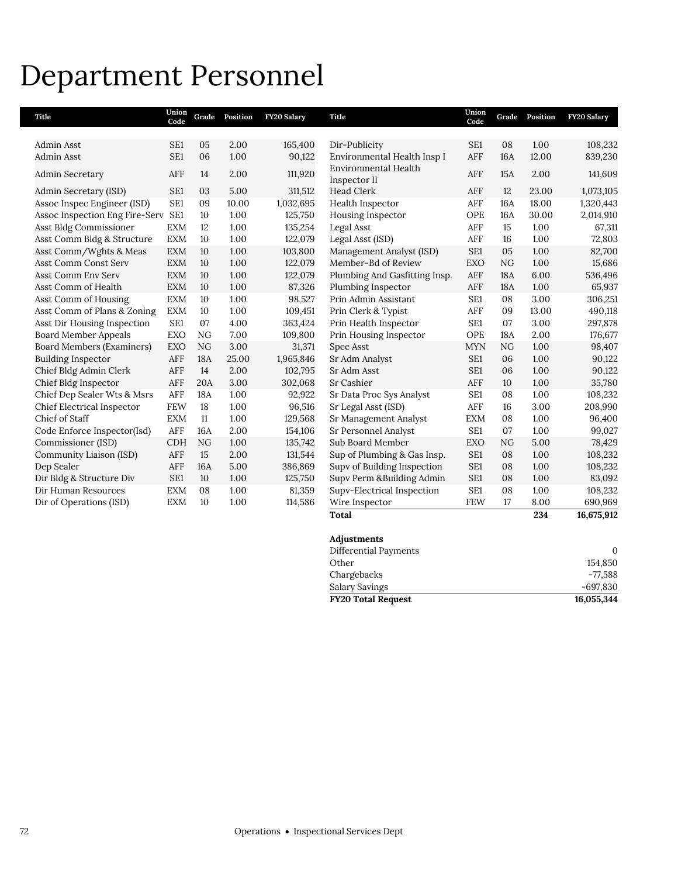## Department Personnel

| <b>Title</b>                   | Union<br>Code   | Grade      | Position | FY20 Salary | Title                                       | Union<br>Code   |            | Grade Position | <b>FY20 Salary</b> |
|--------------------------------|-----------------|------------|----------|-------------|---------------------------------------------|-----------------|------------|----------------|--------------------|
|                                |                 |            |          |             |                                             |                 |            |                |                    |
| Admin Asst                     | SE <sub>1</sub> | 05         | 2.00     | 165,400     | Dir-Publicity                               | SE <sub>1</sub> | 08         | 1.00           | 108,232            |
| Admin Asst                     | SE1             | 06         | 1.00     | 90,122      | Environmental Health Insp I                 | AFF             | <b>16A</b> | 12.00          | 839,230            |
| <b>Admin Secretary</b>         | AFF             | 14         | 2.00     | 111,920     | <b>Environmental Health</b><br>Inspector II | AFF             | 15A        | 2.00           | 141,609            |
| Admin Secretary (ISD)          | SE1             | 03         | 5.00     | 311,512     | <b>Head Clerk</b>                           | AFF             | 12         | 23.00          | 1,073,105          |
| Assoc Inspec Engineer (ISD)    | SE <sub>1</sub> | 09         | 10.00    | 1,032,695   | Health Inspector                            | AFF             | <b>16A</b> | 18.00          | 1,320,443          |
| Assoc Inspection Eng Fire-Serv | SE <sub>1</sub> | 10         | 1.00     | 125,750     | Housing Inspector                           | OPE             | <b>16A</b> | 30.00          | 2,014,910          |
| Asst Bldg Commissioner         | <b>EXM</b>      | 12         | 1.00     | 135,254     | Legal Asst                                  | AFF             | 15         | 1.00           | 67,311             |
| Asst Comm Bldg & Structure     | <b>EXM</b>      | 10         | 1.00     | 122,079     | Legal Asst (ISD)                            | AFF             | 16         | 1.00           | 72,803             |
| Asst Comm/Wghts & Meas         | <b>EXM</b>      | 10         | 1.00     | 103,800     | Management Analyst (ISD)                    | SE1             | 05         | 1.00           | 82,700             |
| <b>Asst Comm Const Serv</b>    | <b>EXM</b>      | 10         | 1.00     | 122,079     | Member-Bd of Review                         | <b>EXO</b>      | NG         | 1.00           | 15,686             |
| <b>Asst Comm Env Serv</b>      | <b>EXM</b>      | 10         | 1.00     | 122,079     | Plumbing And Gasfitting Insp.               | AFF             | <b>18A</b> | 6.00           | 536,496            |
| Asst Comm of Health            | <b>EXM</b>      | 10         | 1.00     | 87,326      | Plumbing Inspector                          | AFF             | <b>18A</b> | 1.00           | 65,937             |
| Asst Comm of Housing           | <b>EXM</b>      | 10         | 1.00     | 98,527      | Prin Admin Assistant                        | SE <sub>1</sub> | 08         | 3.00           | 306,251            |
| Asst Comm of Plans & Zoning    | <b>EXM</b>      | 10         | 1.00     | 109,451     | Prin Clerk & Typist                         | <b>AFF</b>      | 09         | 13.00          | 490,118            |
| Asst Dir Housing Inspection    | SE <sub>1</sub> | 07         | 4.00     | 363,424     | Prin Health Inspector                       | SE <sub>1</sub> | 07         | 3.00           | 297,878            |
| <b>Board Member Appeals</b>    | <b>EXO</b>      | NG         | 7.00     | 109,800     | Prin Housing Inspector                      | OPE             | <b>18A</b> | 2.00           | 176,677            |
| Board Members (Examiners)      | <b>EXO</b>      | NG         | 3.00     | 31,371      | Spec Asst                                   | <b>MYN</b>      | NG         | 1.00           | 98,407             |
| <b>Building Inspector</b>      | AFF             | <b>18A</b> | 25.00    | 1,965,846   | Sr Adm Analyst                              | SE <sub>1</sub> | 06         | 1.00           | 90,122             |
| Chief Bldg Admin Clerk         | AFF             | 14         | 2.00     | 102,795     | Sr Adm Asst                                 | SE1             | 06         | 1.00           | 90,122             |
| Chief Bldg Inspector           | AFF             | 20A        | 3.00     | 302,068     | Sr Cashier                                  | <b>AFF</b>      | 10         | 1.00           | 35,780             |
| Chief Dep Sealer Wts & Msrs    | AFF             | <b>18A</b> | 1.00     | 92,922      | Sr Data Proc Sys Analyst                    | SE <sub>1</sub> | 08         | 1.00           | 108,232            |
| Chief Electrical Inspector     | <b>FEW</b>      | 18         | 1.00     | 96,516      | Sr Legal Asst (ISD)                         | AFF             | 16         | 3.00           | 208,990            |
| Chief of Staff                 | <b>EXM</b>      | 11         | 1.00     | 129,568     | Sr Management Analyst                       | <b>EXM</b>      | 08         | 1.00           | 96,400             |
| Code Enforce Inspector(Isd)    | AFF             | <b>16A</b> | 2.00     | 154,106     | Sr Personnel Analyst                        | SE <sub>1</sub> | 07         | 1.00           | 99,027             |
| Commissioner (ISD)             | <b>CDH</b>      | NG         | 1.00     | 135,742     | Sub Board Member                            | <b>EXO</b>      | NG         | 5.00           | 78,429             |
| Community Liaison (ISD)        | AFF             | 15         | 2.00     | 131,544     | Sup of Plumbing & Gas Insp.                 | SE1             | 08         | 1.00           | 108,232            |
| Dep Sealer                     | AFF             | <b>16A</b> | 5.00     | 386,869     | Supv of Building Inspection                 | SE <sub>1</sub> | 08         | 1.00           | 108,232            |
| Dir Bldg & Structure Div       | SE1             | 10         | 1.00     | 125,750     | Supv Perm &Building Admin                   | SE1             | 08         | 1.00           | 83,092             |
| Dir Human Resources            | <b>EXM</b>      | 08         | 1.00     | 81,359      | Supv-Electrical Inspection                  | SE <sub>1</sub> | 08         | 1.00           | 108,232            |
| Dir of Operations (ISD)        | <b>EXM</b>      | 10         | 1.00     | 114,586     | Wire Inspector                              | <b>FEW</b>      | 17         | 8.00           | 690,969            |
|                                |                 |            |          |             | <b>Total</b>                                |                 |            | 234            | 16,675,912         |

| <b>FY20 Total Request</b>    | 16,055,344 |
|------------------------------|------------|
| Salary Savings               | $-697,830$ |
| Chargebacks                  | -77,588    |
| Other                        | 154.850    |
| <b>Differential Payments</b> | $\Omega$   |
| Adjustments                  |            |
|                              |            |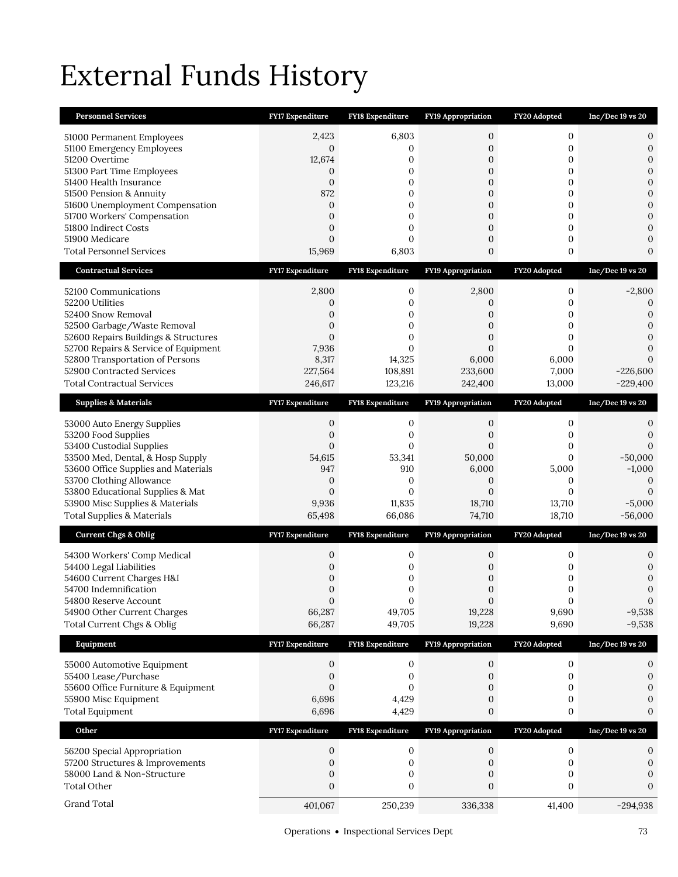# External Funds History

| <b>Personnel Services</b>                                           | FY17 Expenditure                 | FY18 Expenditure        | FY19 Appropriation               | FY20 Adopted                         | $Inc/Dec 19$ vs $20$             |
|---------------------------------------------------------------------|----------------------------------|-------------------------|----------------------------------|--------------------------------------|----------------------------------|
| 51000 Permanent Employees                                           | 2,423                            | 6,803                   | 0                                | $\mathbf{0}$                         | 0                                |
| 51100 Emergency Employees                                           | $\mathbf{0}$                     | 0                       | 0                                | $\boldsymbol{0}$                     | $\boldsymbol{0}$                 |
| 51200 Overtime                                                      | 12,674                           | $\mathbf{0}$            | $\mathbf{0}$                     | $\mathbf{0}$                         | $\mathbf{0}$                     |
| 51300 Part Time Employees                                           | 0                                | 0                       | $\mathbf{0}$                     | 0                                    | $\boldsymbol{0}$                 |
| 51400 Health Insurance<br>51500 Pension & Annuity                   | $\mathbf{0}$<br>872              | 0<br>0                  | $\boldsymbol{0}$<br>0            | 0<br>0                               | $\mathbf{0}$<br>$\mathbf{0}$     |
| 51600 Unemployment Compensation                                     | $\mathbf{0}$                     | 0                       | $\boldsymbol{0}$                 | 0                                    | $\mathbf{0}$                     |
| 51700 Workers' Compensation                                         | $\overline{0}$                   | 0                       | $\mathbf{0}$                     | 0                                    | $\overline{0}$                   |
| 51800 Indirect Costs                                                | $\overline{0}$                   | 0                       | 0                                | $\mathbf{0}$                         | $\mathbf{0}$                     |
| 51900 Medicare                                                      | $\overline{0}$                   | $\Omega$                | $\boldsymbol{0}$                 | 0                                    | $\mathbf{0}$                     |
| <b>Total Personnel Services</b>                                     | 15,969                           | 6,803                   | 0                                | 0                                    | $\boldsymbol{0}$                 |
| <b>Contractual Services</b>                                         | <b>FY17 Expenditure</b>          | FY18 Expenditure        | <b>FY19 Appropriation</b>        | FY20 Adopted                         | $Inc/Dec 19$ vs $20$             |
| 52100 Communications                                                | 2,800                            | 0                       | 2,800                            | $\boldsymbol{0}$                     | $-2,800$                         |
| 52200 Utilities                                                     | 0                                | 0                       | 0                                | 0                                    | $\mathbf{0}$                     |
| 52400 Snow Removal                                                  | $\overline{0}$                   | 0                       | 0                                | 0                                    | $\mathbf{0}$                     |
| 52500 Garbage/Waste Removal<br>52600 Repairs Buildings & Structures | $\overline{0}$<br>$\overline{0}$ | $\mathbf{0}$<br>0       | $\overline{0}$<br>0              | $\mathbf{0}$<br>$\mathbf{0}$         | $\mathbf{0}$<br>$\boldsymbol{0}$ |
| 52700 Repairs & Service of Equipment                                | 7,936                            | 0                       | $\overline{0}$                   | $\mathbf{0}$                         | $\mathbf{0}$                     |
| 52800 Transportation of Persons                                     | 8,317                            | 14,325                  | 6,000                            | 6,000                                | $\Omega$                         |
| 52900 Contracted Services                                           | 227,564                          | 108,891                 | 233,600                          | 7,000                                | $-226,600$                       |
| <b>Total Contractual Services</b>                                   | 246,617                          | 123,216                 | 242,400                          | 13,000                               | $-229,400$                       |
| <b>Supplies &amp; Materials</b>                                     | <b>FY17 Expenditure</b>          | <b>FY18 Expenditure</b> | <b>FY19 Appropriation</b>        | FY20 Adopted                         | $Inc/Dec 19$ vs $20$             |
| 53000 Auto Energy Supplies                                          | 0                                | 0                       | 0                                | 0                                    | 0                                |
| 53200 Food Supplies                                                 | $\mathbf{0}$                     | 0                       | 0                                | 0                                    | $\boldsymbol{0}$                 |
| 53400 Custodial Supplies                                            | $\overline{0}$                   | $\mathbf{0}$            | $\overline{0}$                   | 0                                    | $\Omega$                         |
| 53500 Med, Dental, & Hosp Supply                                    | 54,615                           | 53,341                  | 50,000                           | 0                                    | $-50,000$                        |
| 53600 Office Supplies and Materials                                 | 947                              | 910                     | 6,000                            | 5,000                                | $-1,000$                         |
| 53700 Clothing Allowance<br>53800 Educational Supplies & Mat        | 0<br>$\mathbf{0}$                | 0<br>$\mathbf{0}$       | 0<br>$\overline{0}$              | $\mathbf{0}$<br>$\mathbf{0}$         | $\mathbf{0}$<br>$\Omega$         |
| 53900 Misc Supplies & Materials                                     | 9,936                            | 11,835                  | 18,710                           | 13,710                               | $-5,000$                         |
| <b>Total Supplies &amp; Materials</b>                               | 65,498                           | 66,086                  | 74,710                           | 18,710                               | $-56,000$                        |
| <b>Current Chgs &amp; Oblig</b>                                     | <b>FY17 Expenditure</b>          | <b>FY18 Expenditure</b> | FY19 Appropriation               | FY20 Adopted                         | $Inc/Dec 19$ vs $20$             |
| 54300 Workers' Comp Medical                                         | 0                                | 0                       | 0                                | 0                                    | 0                                |
| 54400 Legal Liabilities                                             | 0                                | 0                       | 0                                | 0                                    | $\mathbf{0}$                     |
| 54600 Current Charges H&I                                           | $\mathbf 0$                      | 0                       | 0                                | 0                                    | $\mathbf{0}$                     |
| 54700 Indemnification                                               | 0                                | 0                       | 0                                | 0                                    | $\boldsymbol{0}$                 |
| 54800 Reserve Account                                               | $\Omega$                         | $\mathbf{0}$            | $\Omega$                         | $\overline{0}$                       | $\mathbf{0}$                     |
| 54900 Other Current Charges<br>Total Current Chgs & Oblig           | 66,287<br>66,287                 | 49,705<br>49,705        | 19,228<br>19,228                 | 9,690<br>9,690                       | $-9,538$<br>$-9,538$             |
| Equipment                                                           | FY17 Expenditure                 | FY18 Expenditure        | FY19 Appropriation               | FY20 Adopted                         | Inc/Dec 19 vs 20                 |
|                                                                     |                                  |                         |                                  |                                      |                                  |
| 55000 Automotive Equipment<br>55400 Lease/Purchase                  | $\boldsymbol{0}$<br>0            | $\boldsymbol{0}$<br>0   | $\boldsymbol{0}$<br>$\mathbf{0}$ | $\boldsymbol{0}$<br>$\boldsymbol{0}$ | 0<br>0                           |
| 55600 Office Furniture & Equipment                                  | $\boldsymbol{0}$                 | 0                       | 0                                | 0                                    | $\mathbf{0}$                     |
| 55900 Misc Equipment                                                | 6,696                            | 4,429                   | 0                                | 0                                    | 0                                |
| <b>Total Equipment</b>                                              | 6,696                            | 4,429                   | 0                                | $\boldsymbol{0}$                     | $\boldsymbol{0}$                 |
| Other                                                               | FY17 Expenditure                 | <b>FY18 Expenditure</b> | FY19 Appropriation               | FY20 Adopted                         | $Inc/Dec 19$ vs $20$             |
| 56200 Special Appropriation                                         | 0                                | 0                       | 0                                | $\boldsymbol{0}$                     | 0                                |
| 57200 Structures & Improvements                                     | 0                                | 0                       | 0                                | $\boldsymbol{0}$                     | 0                                |
| 58000 Land & Non-Structure                                          | 0                                | 0                       | 0                                | 0                                    | 0                                |
| <b>Total Other</b>                                                  | $\boldsymbol{0}$                 | 0                       | $\boldsymbol{0}$                 | 0                                    | $\boldsymbol{0}$                 |
| Grand Total                                                         | 401,067                          | 250,239                 | 336,338                          | 41,400                               | $-294,938$                       |
|                                                                     |                                  |                         |                                  |                                      |                                  |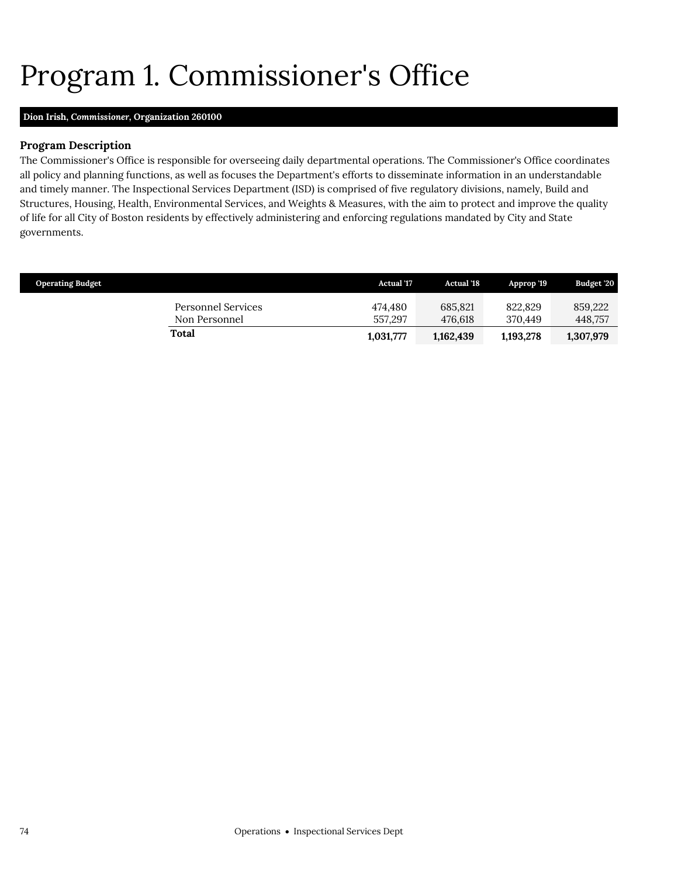# <span id="page-9-0"></span>Program 1. Commissioner's Office

### **Dion Irish,** *Commissioner,* **Organization 260100**

#### **Program Description**

The Commissioner's Office is responsible for overseeing daily departmental operations. The Commissioner's Office coordinates all policy and planning functions, as well as focuses the Department's efforts to disseminate information in an understandable and timely manner. The Inspectional Services Department (ISD) is comprised of five regulatory divisions, namely, Build and Structures, Housing, Health, Environmental Services, and Weights & Measures, with the aim to protect and improve the quality of life for all City of Boston residents by effectively administering and enforcing regulations mandated by City and State governments.

| <b>Operating Budget</b>             | <b>Actual '17</b>  | <b>Actual</b> '18  | Approp '19         | Budget '20         |
|-------------------------------------|--------------------|--------------------|--------------------|--------------------|
| Personnel Services<br>Non Personnel | 474.480<br>557.297 | 685.821<br>476.618 | 822,829<br>370.449 | 859,222<br>448,757 |
| Total                               | 1,031,777          | 1,162,439          | 1,193,278          | 1,307,979          |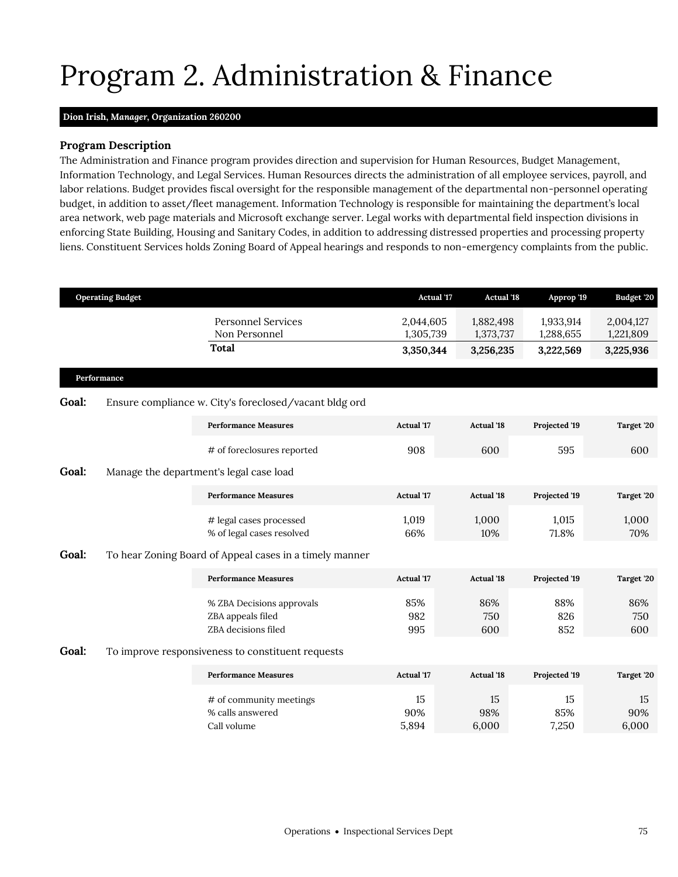# <span id="page-10-0"></span>Program 2. Administration & Finance

#### **Dion Irish,** *Manager,* **Organization 260200**

#### **Program Description**

The Administration and Finance program provides direction and supervision for Human Resources, Budget Management, Information Technology, and Legal Services. Human Resources directs the administration of all employee services, payroll, and labor relations. Budget provides fiscal oversight for the responsible management of the departmental non-personnel operating budget, in addition to asset/fleet management. Information Technology is responsible for maintaining the department's local area network, web page materials and Microsoft exchange server. Legal works with departmental field inspection divisions in enforcing State Building, Housing and Sanitary Codes, in addition to addressing distressed properties and processing property liens. Constituent Services holds Zoning Board of Appeal hearings and responds to non-emergency complaints from the public.

|       | <b>Operating Budget</b> |                                                                       | <b>Actual '17</b>      | <b>Actual '18</b>      | Approp '19             | Budget '20             |
|-------|-------------------------|-----------------------------------------------------------------------|------------------------|------------------------|------------------------|------------------------|
|       |                         | <b>Personnel Services</b><br>Non Personnel                            | 2,044,605<br>1,305,739 | 1,882,498<br>1,373,737 | 1,933,914<br>1,288,655 | 2,004,127<br>1,221,809 |
|       |                         | <b>Total</b>                                                          | 3,350,344              | 3,256,235              | 3,222,569              | 3,225,936              |
|       | Performance             |                                                                       |                        |                        |                        |                        |
| Goal: |                         | Ensure compliance w. City's foreclosed/vacant bldg ord                |                        |                        |                        |                        |
|       |                         | <b>Performance Measures</b>                                           | <b>Actual</b> '17      | <b>Actual '18</b>      | Projected '19          | Target '20             |
|       |                         | # of foreclosures reported                                            | 908                    | 600                    | 595                    | 600                    |
| Goal: |                         | Manage the department's legal case load                               |                        |                        |                        |                        |
|       |                         | <b>Performance Measures</b>                                           | <b>Actual '17</b>      | <b>Actual '18</b>      | Projected '19          | Target '20             |
|       |                         | # legal cases processed<br>% of legal cases resolved                  | 1,019<br>66%           | 1,000<br>10%           | 1,015<br>71.8%         | 1,000<br>70%           |
| Goal: |                         | To hear Zoning Board of Appeal cases in a timely manner               |                        |                        |                        |                        |
|       |                         | <b>Performance Measures</b>                                           | <b>Actual '17</b>      | <b>Actual '18</b>      | Projected '19          | Target '20             |
|       |                         | % ZBA Decisions approvals<br>ZBA appeals filed<br>ZBA decisions filed | 85%<br>982<br>995      | 86%<br>750<br>600      | 88%<br>826<br>852      | 86%<br>750<br>600      |
| Goal: |                         | To improve responsiveness to constituent requests                     |                        |                        |                        |                        |
|       |                         | <b>Performance Measures</b>                                           | <b>Actual</b> '17      | <b>Actual '18</b>      | Projected '19          | Target '20             |
|       |                         | # of community meetings<br>% calls answered<br>Call volume            | 15<br>90%<br>5,894     | 15<br>98%<br>6,000     | 15<br>85%<br>7,250     | 15<br>90%<br>6,000     |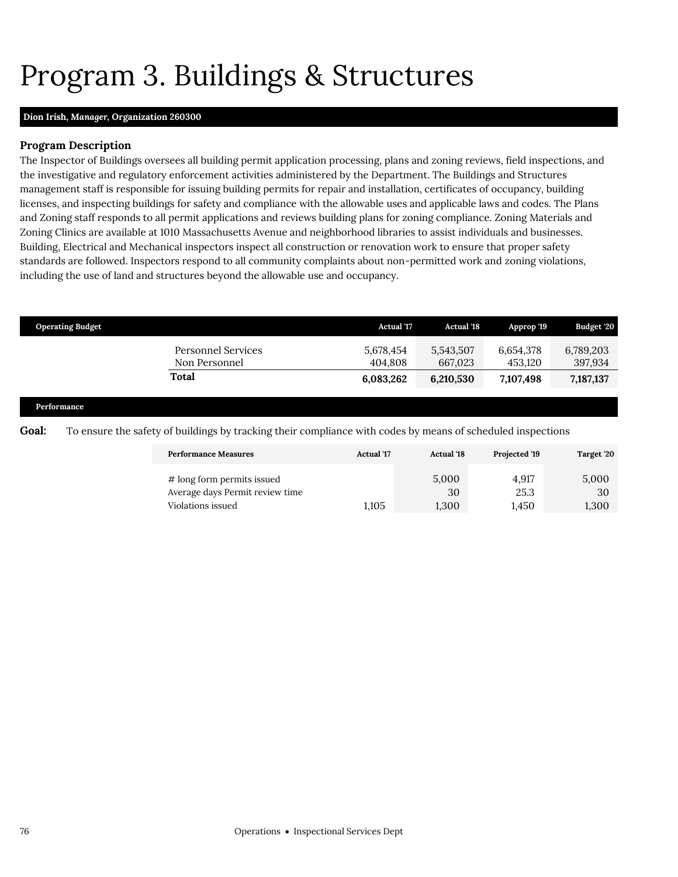## <span id="page-11-0"></span>Program 3. Buildings & Structures

#### **Dion Irish,** *Manager,* **Organization 260300**

#### **Program Description**

The Inspector of Buildings oversees all building permit application processing, plans and zoning reviews, field inspections, and the investigative and regulatory enforcement activities administered by the Department. The Buildings and Structures management staff is responsible for issuing building permits for repair and installation, certificates of occupancy, building licenses, and inspecting buildings for safety and compliance with the allowable uses and applicable laws and codes. The Plans and Zoning staff responds to all permit applications and reviews building plans for zoning compliance. Zoning Materials and Zoning Clinics are available at 1010 Massachusetts Avenue and neighborhood libraries to assist individuals and businesses. Building, Electrical and Mechanical inspectors inspect all construction or renovation work to ensure that proper safety standards are followed. Inspectors respond to all community complaints about non-permitted work and zoning violations, including the use of land and structures beyond the allowable use and occupancy.

| <b>Operating Budget</b> |                                     | <b>Actual</b> '17    | <b>Actual</b> '18    | Approp '19           | Budget '20           |
|-------------------------|-------------------------------------|----------------------|----------------------|----------------------|----------------------|
|                         | Personnel Services<br>Non Personnel | 5,678,454<br>404.808 | 5,543,507<br>667.023 | 6,654,378<br>453.120 | 6,789,203<br>397,934 |
|                         | Total                               | 6,083,262            | 6,210,530            | 7,107,498            | 7,187,137            |
|                         |                                     |                      |                      |                      |                      |

**Performance**

**Goal:** To ensure the safety of buildings by tracking their compliance with codes by means of scheduled inspections

| <b>Performance Measures</b>     | <b>Actual</b> '17 | <b>Actual</b> '18 | Projected '19 | Target '20 |
|---------------------------------|-------------------|-------------------|---------------|------------|
| # long form permits issued      | 1.105             | 5,000             | 4.917         | 5,000      |
| Average days Permit review time |                   | 30                | 25.3          | 30         |
| Violations issued               |                   | 1,300             | 1.450         | 1,300      |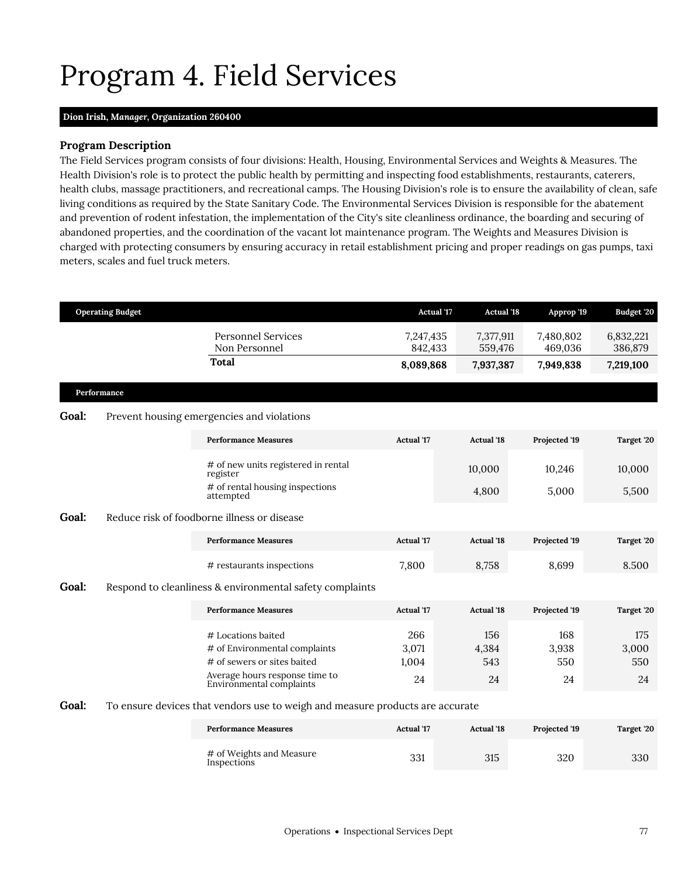## <span id="page-12-0"></span>Program 4. Field Services

#### **Dion Irish,** *Manager,* **Organization 260400**

#### **Program Description**

The Field Services program consists of four divisions: Health, Housing, Environmental Services and Weights & Measures. The Health Division's role is to protect the public health by permitting and inspecting food establishments, restaurants, caterers, health clubs, massage practitioners, and recreational camps. The Housing Division's role is to ensure the availability of clean, safe living conditions as required by the State Sanitary Code. The Environmental Services Division is responsible for the abatement and prevention of rodent infestation, the implementation of the City's site cleanliness ordinance, the boarding and securing of abandoned properties, and the coordination of the vacant lot maintenance program. The Weights and Measures Division is charged with protecting consumers by ensuring accuracy in retail establishment pricing and proper readings on gas pumps, taxi meters, scales and fuel truck meters.

|       | <b>Operating Budget</b> |                                                                                                                                                  | <b>Actual '17</b>           | <b>Actual '18</b>         | Approp '19                | Budget '20                |
|-------|-------------------------|--------------------------------------------------------------------------------------------------------------------------------------------------|-----------------------------|---------------------------|---------------------------|---------------------------|
|       |                         | <b>Personnel Services</b><br>Non Personnel                                                                                                       | 7,247,435<br>842,433        | 7,377,911<br>559,476      | 7,480,802<br>469,036      | 6,832,221<br>386,879      |
|       |                         | <b>Total</b>                                                                                                                                     | 8,089,868                   | 7,937,387                 | 7,949,838                 | 7,219,100                 |
|       | Performance             |                                                                                                                                                  |                             |                           |                           |                           |
| Goal: |                         | Prevent housing emergencies and violations                                                                                                       |                             |                           |                           |                           |
|       |                         | <b>Performance Measures</b>                                                                                                                      | <b>Actual</b> '17           | <b>Actual</b> '18         | Projected '19             | Target '20                |
|       |                         | # of new units registered in rental<br>register                                                                                                  |                             | 10,000                    | 10,246                    | 10,000                    |
|       |                         | # of rental housing inspections<br>attempted                                                                                                     |                             | 4,800                     | 5,000                     | 5,500                     |
| Goal: |                         | Reduce risk of foodborne illness or disease                                                                                                      |                             |                           |                           |                           |
|       |                         | <b>Performance Measures</b>                                                                                                                      | <b>Actual</b> '17           | <b>Actual</b> '18         | Projected '19             | Target '20                |
|       |                         | # restaurants inspections                                                                                                                        | 7,800                       | 8,758                     | 8,699                     | 8.500                     |
| Goal: |                         | Respond to cleanliness & environmental safety complaints                                                                                         |                             |                           |                           |                           |
|       |                         | <b>Performance Measures</b>                                                                                                                      | <b>Actual '17</b>           | <b>Actual</b> '18         | Projected '19             | Target '20                |
|       |                         | # Locations baited<br># of Environmental complaints<br># of sewers or sites baited<br>Average hours response time to<br>Environmental complaints | 266<br>3,071<br>1,004<br>24 | 156<br>4,384<br>543<br>24 | 168<br>3,938<br>550<br>24 | 175<br>3,000<br>550<br>24 |
| Goal: |                         | To ensure devices that vendors use to weigh and measure products are accurate                                                                    |                             |                           |                           |                           |
|       |                         | <b>Performance Measures</b>                                                                                                                      | Actual '17                  | <b>Actual</b> '18         | Projected '19             | Target '20                |
|       |                         | # of Weights and Measure<br>Inspections                                                                                                          | 331                         | 315                       | 320                       | 330                       |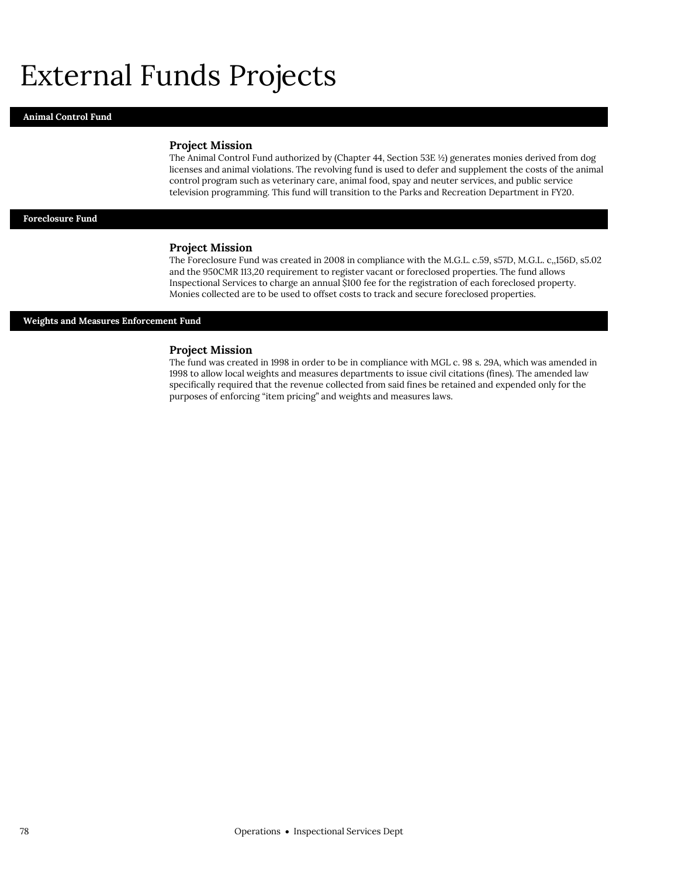## External Funds Projects

#### **Animal Control Fund**

#### **Project Mission**

The Animal Control Fund authorized by (Chapter 44, Section 53E ½) generates monies derived from dog licenses and animal violations. The revolving fund is used to defer and supplement the costs of the animal control program such as veterinary care, animal food, spay and neuter services, and public service television programming. This fund will transition to the Parks and Recreation Department in FY20.

#### **Foreclosure Fund**

#### **Project Mission**

The Foreclosure Fund was created in 2008 in compliance with the M.G.L. c.59, s57D, M.G.L. c,,156D, s5.02 and the 950CMR 113,20 requirement to register vacant or foreclosed properties. The fund allows Inspectional Services to charge an annual \$100 fee for the registration of each foreclosed property. Monies collected are to be used to offset costs to track and secure foreclosed properties.

#### **Weights and Measures Enforcement Fund**

#### **Project Mission**

The fund was created in 1998 in order to be in compliance with MGL c. 98 s. 29A, which was amended in 1998 to allow local weights and measures departments to issue civil citations (fines). The amended law specifically required that the revenue collected from said fines be retained and expended only for the purposes of enforcing "item pricing" and weights and measures laws.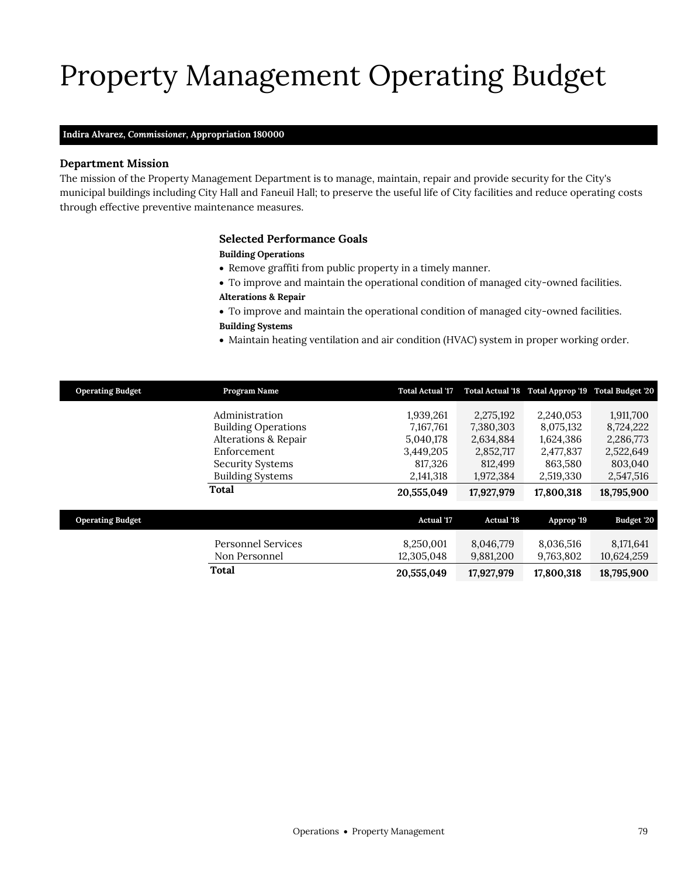# Property Management Operating Budget

#### **Indira Alvarez,** *Commissioner,* **Appropriation 180000**

#### **Department Mission**

The mission of the Property Management Department is to manage, maintain, repair and provide security for the City's municipal buildings including City Hall and Faneuil Hall; to preserve the useful life of City facilities and reduce operating costs through effective preventive maintenance measures.

#### <span id="page-14-0"></span>**Selected Performance Goals**

#### **Building Operations**

- Remove graffiti from public property in a timely manner.
- To improve and maintain the operational condition of managed city-owned facilities. **Alterations & Repair**
- To improve and maintain the operational condition of managed city-owned facilities.
- **Building Systems**
- Maintain heating ventilation and air condition (HVAC) system in proper working order.

| <b>Operating Budget</b> | Program Name               | <b>Total Actual '17</b> |                   | Total Actual '18 Total Approp '19 Total Budget '20 |            |
|-------------------------|----------------------------|-------------------------|-------------------|----------------------------------------------------|------------|
|                         | Administration             | 1,939,261               | 2,275,192         | 2,240,053                                          | 1,911,700  |
|                         | <b>Building Operations</b> | 7,167,761               | 7,380,303         | 8,075,132                                          | 8,724,222  |
|                         | Alterations & Repair       | 5,040,178               | 2,634,884         | 1,624,386                                          | 2,286,773  |
|                         | Enforcement                | 3,449,205               | 2,852,717         | 2,477,837                                          | 2,522,649  |
|                         | <b>Security Systems</b>    | 817,326                 | 812,499           | 863,580                                            | 803,040    |
|                         | <b>Building Systems</b>    | 2,141,318               | 1,972,384         | 2,519,330                                          | 2,547,516  |
|                         | Total                      | 20,555,049              | 17,927,979        | 17,800,318                                         | 18,795,900 |
|                         |                            |                         |                   |                                                    |            |
| <b>Operating Budget</b> |                            | <b>Actual '17</b>       | <b>Actual '18</b> | Approp '19                                         | Budget '20 |
|                         | <b>Personnel Services</b>  | 8,250,001               | 8,046,779         | 8,036,516                                          | 8,171,641  |
|                         | Non Personnel              | 12,305,048              | 9,881,200         | 9,763,802                                          | 10,624,259 |
|                         | Total                      | 20,555,049              | 17,927,979        | 17,800,318                                         | 18,795,900 |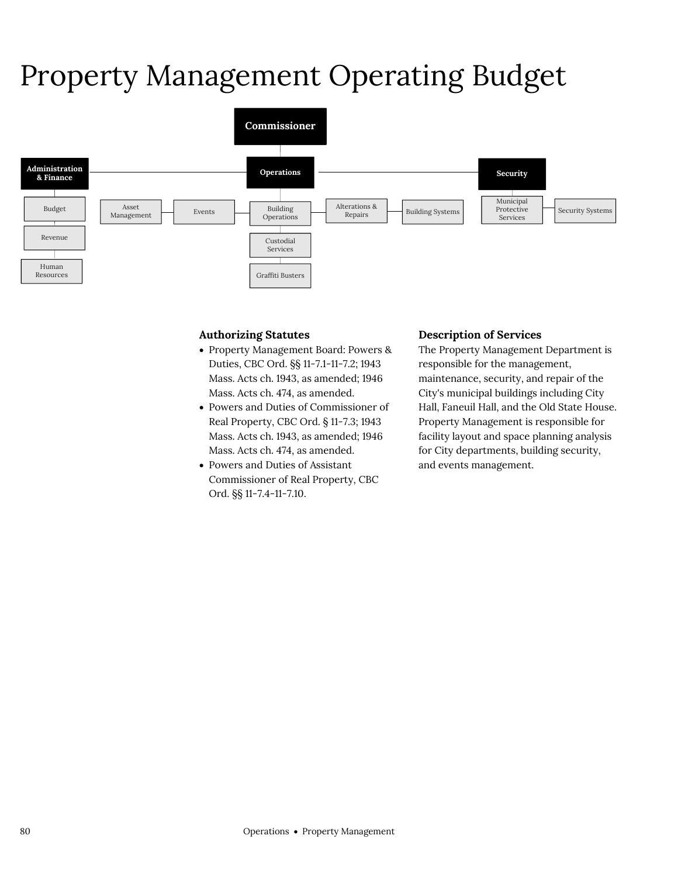# Property Management Operating Budget



#### **Authorizing Statutes**

- Property Management Board: Powers & Duties, CBC Ord. §§ 11-7.1-11-7.2; 1943 Mass. Acts ch. 1943, as amended; 1946 Mass. Acts ch. 474, as amended.
- Powers and Duties of Commissioner of Real Property, CBC Ord. § 11-7.3; 1943 Mass. Acts ch. 1943, as amended; 1946 Mass. Acts ch. 474, as amended.
- Powers and Duties of Assistant Commissioner of Real Property, CBC Ord. §§ 11-7.4-11-7.10.

#### **Description of Services**

The Property Management Department is responsible for the management, maintenance, security, and repair of the City's municipal buildings including City Hall, Faneuil Hall, and the Old State House. Property Management is responsible for facility layout and space planning analysis for City departments, building security, and events management.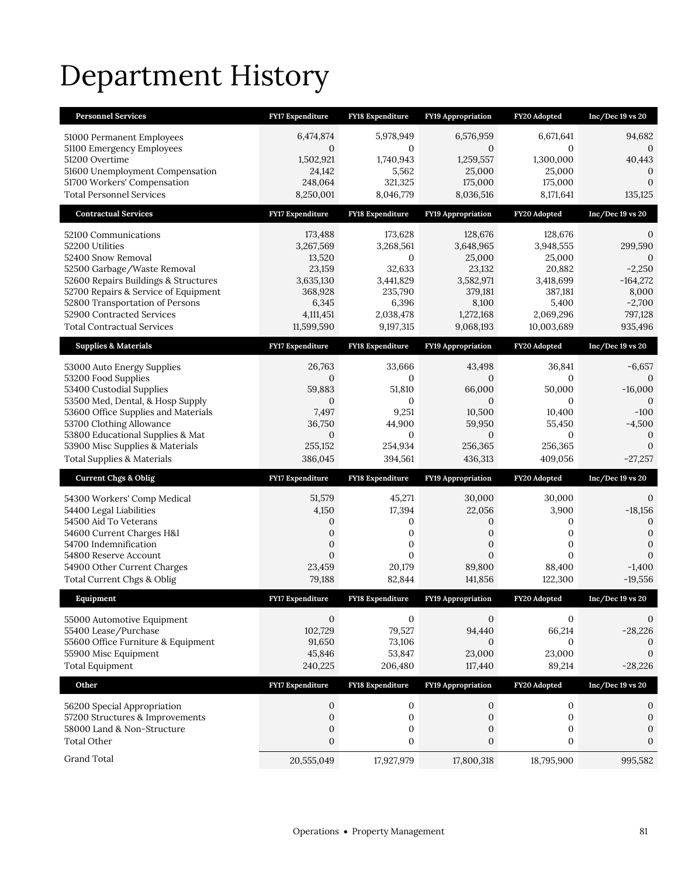# Department History

| <b>Personnel Services</b>                                                    | <b>FY17 Expenditure</b>        | <b>FY18 Expenditure</b>        | <b>FY19 Appropriation</b>      | FY20 Adopted                   | $Inc/Dec 19$ vs $20$        |
|------------------------------------------------------------------------------|--------------------------------|--------------------------------|--------------------------------|--------------------------------|-----------------------------|
| 51000 Permanent Employees                                                    | 6,474,874                      | 5,978,949                      | 6,576,959                      | 6,671,641                      | 94,682                      |
| 51100 Emergency Employees                                                    | $\sigma$                       | $\mathbf{0}$                   | $\sigma$                       | $\Omega$                       | 0                           |
| 51200 Overtime                                                               | 1,502,921                      | 1,740,943                      | 1,259,557                      | 1,300,000                      | 40,443                      |
| 51600 Unemployment Compensation<br>51700 Workers' Compensation               | 24,142<br>248,064              | 5,562<br>321,325               | 25,000<br>175,000              | 25,000<br>175,000              | $\theta$<br>$\mathbf{0}$    |
| <b>Total Personnel Services</b>                                              | 8,250,001                      | 8,046,779                      | 8,036,516                      | 8,171,641                      | 135,125                     |
| <b>Contractual Services</b>                                                  | <b>FY17 Expenditure</b>        | FY18 Expenditure               | <b>FY19 Appropriation</b>      | FY20 Adopted                   | $Inc/Dec 19$ vs $20$        |
| 52100 Communications                                                         | 173,488                        | 173,628                        | 128,676                        | 128,676                        | 0                           |
| 52200 Utilities                                                              | 3,267,569                      | 3,268,561                      | 3,648,965                      | 3,948,555                      | 299,590                     |
| 52400 Snow Removal                                                           | 13,520                         | $\mathbf{0}$                   | 25,000                         | 25,000                         | $\Omega$                    |
| 52500 Garbage/Waste Removal                                                  | 23,159                         | 32,633                         | 23,132                         | 20,882                         | $-2,250$                    |
| 52600 Repairs Buildings & Structures<br>52700 Repairs & Service of Equipment | 3,635,130<br>368,928           | 3,441,829<br>235,790           | 3,582,971<br>379,181           | 3,418,699<br>387,181           | $-164,272$<br>8,000         |
| 52800 Transportation of Persons                                              | 6,345                          | 6,396                          | 8,100                          | 5,400                          | $-2,700$                    |
| 52900 Contracted Services                                                    | 4,111,451                      | 2,038,478                      | 1,272,168                      | 2,069,296                      | 797,128                     |
| <b>Total Contractual Services</b>                                            | 11,599,590                     | 9,197,315                      | 9,068,193                      | 10,003,689                     | 935,496                     |
| <b>Supplies &amp; Materials</b>                                              | FY17 Expenditure               | <b>FY18 Expenditure</b>        | FY19 Appropriation             | FY20 Adopted                   | Inc/Dec 19 vs 20            |
| 53000 Auto Energy Supplies                                                   | 26,763                         | 33,666                         | 43,498                         | 36,841                         | $-6,657$                    |
| 53200 Food Supplies                                                          | 0                              | 0                              | 0                              | 0                              | $\Omega$                    |
| 53400 Custodial Supplies                                                     | 59,883                         | 51,810                         | 66,000                         | 50,000                         | $-16,000$                   |
| 53500 Med, Dental, & Hosp Supply<br>53600 Office Supplies and Materials      | $\mathbf{0}$<br>7,497          | $\mathbf{0}$<br>9,251          | $\overline{0}$<br>10,500       | $\overline{0}$<br>10,400       | $\Omega$<br>$-100$          |
| 53700 Clothing Allowance                                                     | 36,750                         | 44,900                         | 59,950                         | 55,450                         | $-4,500$                    |
| 53800 Educational Supplies & Mat                                             | 0                              | $\mathbf{0}$                   | $\overline{0}$                 | $\mathbf{0}$                   | $\mathbf{0}$                |
|                                                                              |                                |                                |                                |                                |                             |
| 53900 Misc Supplies & Materials                                              | 255,152                        | 254,934                        | 256,365                        | 256,365                        | $\overline{0}$              |
| <b>Total Supplies &amp; Materials</b>                                        | 386,045                        | 394,561                        | 436,313                        | 409,056                        | $-27,257$                   |
| <b>Current Chgs &amp; Oblig</b>                                              | <b>FY17 Expenditure</b>        | <b>FY18 Expenditure</b>        | <b>FY19 Appropriation</b>      | FY20 Adopted                   | $Inc/Dec 19$ vs $20$        |
|                                                                              | 51,579                         | 45,271                         | 30,000                         | 30,000                         | 0                           |
| 54300 Workers' Comp Medical<br>54400 Legal Liabilities                       | 4,150                          | 17,394                         | 22,056                         | 3,900                          | $-18,156$                   |
| 54500 Aid To Veterans                                                        | $\mathbf{0}$                   | 0                              | 0                              | 0                              | $\mathbf{0}$                |
| 54600 Current Charges H&I                                                    | $\overline{0}$                 | 0                              | $\overline{0}$                 | 0                              | $\mathbf{0}$                |
| 54700 Indemnification<br>54800 Reserve Account                               | 0<br>$\overline{0}$            | 0<br>$\Omega$                  | 0<br>$\overline{0}$            | 0<br>$\Omega$                  | $\mathbf{0}$<br>$\Omega$    |
| 54900 Other Current Charges                                                  | 23,459                         | 20,179                         | 89,800                         | 88,400                         | $-1,400$                    |
| Total Current Chgs & Oblig                                                   | 79,188                         | 82,844                         | 141,856                        | 122,300                        | $-19,556$                   |
| Equipment                                                                    | <b>FY17 Expenditure</b>        | <b>FY18 Expenditure</b>        | FY19 Appropriation             | FY20 Adopted                   | Inc/Dec 19 vs 20            |
|                                                                              | $\mathbf{0}$                   | $\mathbf{0}$                   | $\mathbf{0}$                   | 0                              | 0                           |
| 55000 Automotive Equipment<br>55400 Lease/Purchase                           | 102.729                        | 79,527                         | 94,440                         | 66,214                         | $-28,226$                   |
| 55600 Office Furniture & Equipment                                           | 91,650                         | 73,106                         | 0                              | $\mathbf{0}$                   | $\mathbf{0}$                |
| 55900 Misc Equipment                                                         | 45,846                         | 53,847                         | 23,000                         | 23,000                         | $\mathbf{0}$                |
| <b>Total Equipment</b>                                                       | 240,225                        | 206,480                        | 117,440                        | 89,214                         | $-28,226$                   |
| Other                                                                        | FY17 Expenditure               | FY18 Expenditure               | FY19 Appropriation             | FY20 Adopted                   | Inc/Dec 19 vs 20            |
| 56200 Special Appropriation                                                  | 0                              | 0                              | 0                              | $\boldsymbol{0}$               | 0                           |
| 57200 Structures & Improvements                                              | $\boldsymbol{0}$               | $\boldsymbol{0}$               | $\boldsymbol{0}$               | $\boldsymbol{0}$               | $\boldsymbol{0}$            |
| 58000 Land & Non-Structure                                                   | $\boldsymbol{0}$               | 0                              | 0                              | 0                              | $\boldsymbol{0}$            |
| <b>Total Other</b><br>Grand Total                                            | $\boldsymbol{0}$<br>20,555,049 | $\boldsymbol{0}$<br>17,927,979 | $\boldsymbol{0}$<br>17,800,318 | $\boldsymbol{0}$<br>18,795,900 | $\boldsymbol{0}$<br>995,582 |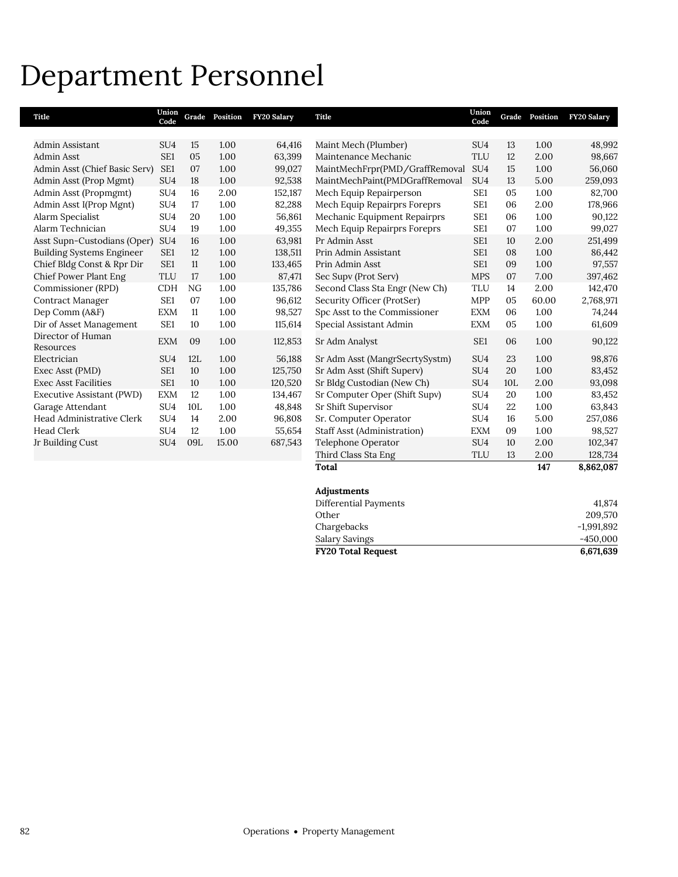## Department Personnel

| Title                            | Union<br>Code   |     | Grade Position | FY20 Salary | Title                              | Union<br>Code   | Grade | Position | FY20 Salary |
|----------------------------------|-----------------|-----|----------------|-------------|------------------------------------|-----------------|-------|----------|-------------|
|                                  |                 |     |                |             |                                    |                 |       |          |             |
| Admin Assistant                  | SU <sub>4</sub> | 15  | 1.00           | 64,416      | Maint Mech (Plumber)               | SU <sub>4</sub> | 13    | 1.00     | 48,992      |
| Admin Asst                       | SE1             | 05  | 1.00           | 63,399      | Maintenance Mechanic               | <b>TLU</b>      | 12    | 2.00     | 98,667      |
| Admin Asst (Chief Basic Serv)    | SE1             | 07  | 1.00           | 99,027      | MaintMechFrpr(PMD/GraffRemoval     | SU <sub>4</sub> | 15    | 1.00     | 56,060      |
| Admin Asst (Prop Mgmt)           | SU <sub>4</sub> | 18  | 1.00           | 92,538      | MaintMechPaint(PMDGraffRemoval     | SU <sub>4</sub> | 13    | 5.00     | 259,093     |
| Admin Asst (Propmgmt)            | SU <sub>4</sub> | 16  | 2.00           | 152,187     | Mech Equip Repairperson            | SE <sub>1</sub> | 05    | 1.00     | 82,700      |
| Admin Asst I(Prop Mgnt)          | SU <sub>4</sub> | 17  | 1.00           | 82,288      | Mech Equip Repairprs Foreprs       | SE <sub>1</sub> | 06    | 2.00     | 178,966     |
| Alarm Specialist                 | SU <sub>4</sub> | 20  | 1.00           | 56,861      | Mechanic Equipment Repairprs       | SE1             | 06    | 1.00     | 90,122      |
| Alarm Technician                 | SU <sub>4</sub> | 19  | 1.00           | 49,355      | Mech Equip Repairprs Foreprs       | SE1             | 07    | 1.00     | 99,027      |
| Asst Supn-Custodians (Oper)      | SU <sub>4</sub> | 16  | 1.00           | 63,981      | Pr Admin Asst                      | SE <sub>1</sub> | 10    | 2.00     | 251,499     |
| <b>Building Systems Engineer</b> | SE1             | 12  | 1.00           | 138,511     | Prin Admin Assistant               | SE <sub>1</sub> | 08    | 1.00     | 86,442      |
| Chief Bldg Const & Rpr Dir       | SE1             | 11  | 1.00           | 133,465     | Prin Admin Asst                    | SE <sub>1</sub> | 09    | 1.00     | 97,557      |
| Chief Power Plant Eng            | <b>TLU</b>      | 17  | 1.00           | 87,471      | Sec Supv (Prot Serv)               | <b>MPS</b>      | 07    | 7.00     | 397,462     |
| Commissioner (RPD)               | <b>CDH</b>      | NG  | 1.00           | 135,786     | Second Class Sta Engr (New Ch)     | <b>TLU</b>      | 14    | 2.00     | 142,470     |
| <b>Contract Manager</b>          | SE <sub>1</sub> | 07  | 1.00           | 96,612      | Security Officer (ProtSer)         | <b>MPP</b>      | 05    | 60.00    | 2,768,971   |
| Dep Comm (A&F)                   | <b>EXM</b>      | 11  | 1.00           | 98,527      | Spc Asst to the Commissioner       | <b>EXM</b>      | 06    | 1.00     | 74,244      |
| Dir of Asset Management          | SE <sub>1</sub> | 10  | 1.00           | 115,614     | Special Assistant Admin            | <b>EXM</b>      | 05    | 1.00     | 61,609      |
| Director of Human                | <b>EXM</b>      | 09  | 1.00           | 112,853     | Sr Adm Analyst                     | SE <sub>1</sub> | 06    | 1.00     | 90,122      |
| Resources                        |                 |     |                |             |                                    |                 |       |          |             |
| Electrician                      | SU <sub>4</sub> | 12L | 1.00           | 56,188      | Sr Adm Asst (MangrSecrtySystm)     | SU <sub>4</sub> | 23    | 1.00     | 98,876      |
| Exec Asst (PMD)                  | SE1             | 10  | 1.00           | 125,750     | Sr Adm Asst (Shift Superv)         | SU <sub>4</sub> | 20    | 1.00     | 83,452      |
| <b>Exec Asst Facilities</b>      | SE1             | 10  | 1.00           | 120,520     | Sr Bldg Custodian (New Ch)         | SU <sub>4</sub> | 10L   | 2.00     | 93,098      |
| Executive Assistant (PWD)        | <b>EXM</b>      | 12  | 1.00           | 134,467     | Sr Computer Oper (Shift Supv)      | SU <sub>4</sub> | 20    | 1.00     | 83,452      |
| Garage Attendant                 | SU <sub>4</sub> | 10L | 1.00           | 48,848      | Sr Shift Supervisor                | SU <sub>4</sub> | 22    | 1.00     | 63,843      |
| Head Administrative Clerk        | SU <sub>4</sub> | 14  | 2.00           | 96,808      | Sr. Computer Operator              | SU <sub>4</sub> | 16    | 5.00     | 257,086     |
| <b>Head Clerk</b>                | SU <sub>4</sub> | 12  | 1.00           | 55,654      | <b>Staff Asst (Administration)</b> | <b>EXM</b>      | 09    | 1.00     | 98,527      |
| Jr Building Cust                 | SU <sub>4</sub> | 09L | 15.00          | 687,543     | Telephone Operator                 | SU <sub>4</sub> | 10    | 2.00     | 102,347     |
|                                  |                 |     |                |             | Third Class Sta Eng                | <b>TLU</b>      | 13    | 2.00     | 128,734     |
|                                  |                 |     |                |             | Total                              |                 |       | 147      | 8,862,087   |
|                                  |                 |     |                |             | Adjustments                        |                 |       |          |             |
|                                  |                 |     |                |             | Differential Payments              |                 |       |          | 41,874      |
|                                  |                 |     |                |             | Other                              |                 |       |          | 209.570     |

**FY20 Total Request 6,671,639**

Chargebacks -1,991,892<br>Salary Savings -450,000 Salary Savings -450,000<br>
FY20 Total Request 6,671,639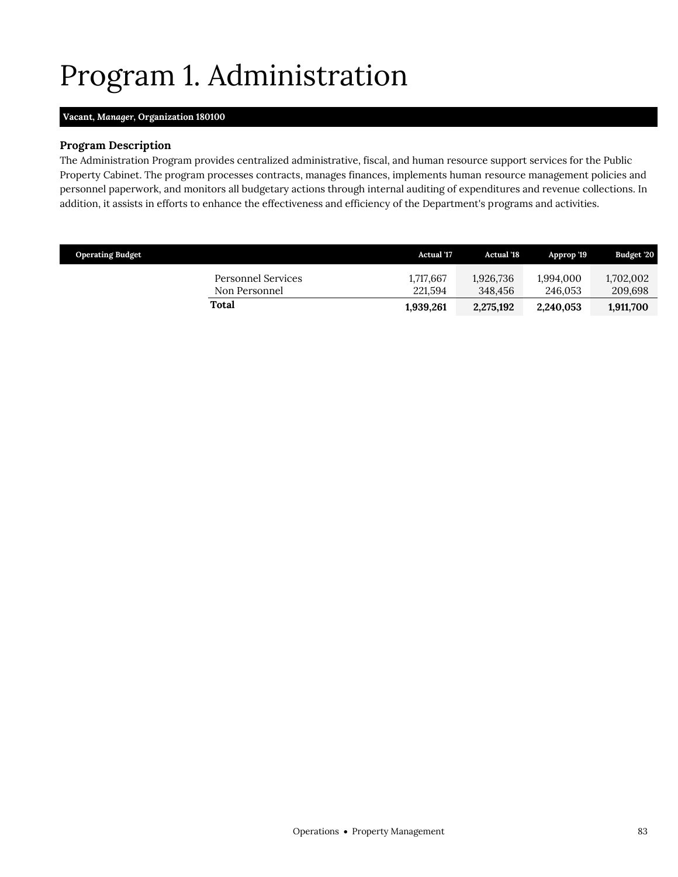# <span id="page-18-0"></span>Program 1. Administration

### **Vacant,** *Manager,* **Organization 180100**

#### **Program Description**

The Administration Program provides centralized administrative, fiscal, and human resource support services for the Public Property Cabinet. The program processes contracts, manages finances, implements human resource management policies and personnel paperwork, and monitors all budgetary actions through internal auditing of expenditures and revenue collections. In addition, it assists in efforts to enhance the effectiveness and efficiency of the Department's programs and activities.

| <b>Operating Budget</b>             | <b>Actual</b> '17    | <b>Actual</b> '18    | Approp '19           | <b>Budget '20</b>    |
|-------------------------------------|----------------------|----------------------|----------------------|----------------------|
| Personnel Services<br>Non Personnel | 1,717,667<br>221.594 | 1,926,736<br>348.456 | 1,994,000<br>246.053 | 1,702,002<br>209,698 |
| Total                               | 1,939,261            | 2,275,192            | 2,240,053            | 1,911,700            |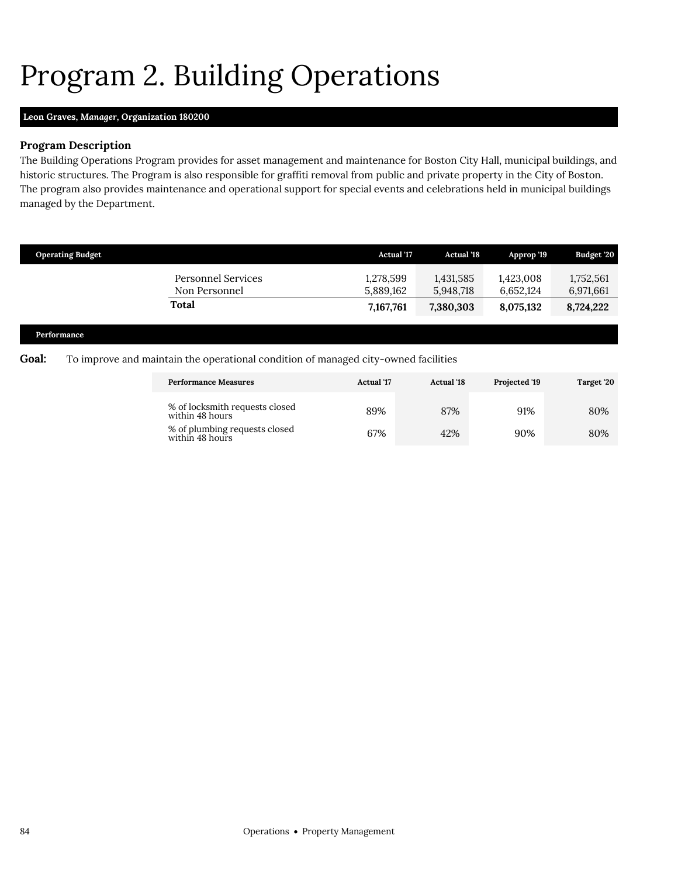# <span id="page-19-0"></span>Program 2. Building Operations

#### **Leon Graves,** *Manager,* **Organization 180200**

#### **Program Description**

The Building Operations Program provides for asset management and maintenance for Boston City Hall, municipal buildings, and historic structures. The Program is also responsible for graffiti removal from public and private property in the City of Boston. The program also provides maintenance and operational support for special events and celebrations held in municipal buildings managed by the Department.

| <b>Operating Budget</b> |                                                                                    | <b>Actual</b> '17      | <b>Actual</b> '18      | Approp '19             | Budget '20             |
|-------------------------|------------------------------------------------------------------------------------|------------------------|------------------------|------------------------|------------------------|
|                         | <b>Personnel Services</b><br>Non Personnel                                         | 1,278,599<br>5,889,162 | 1,431,585<br>5,948,718 | 1,423,008<br>6,652,124 | 1,752,561<br>6,971,661 |
|                         | <b>Total</b>                                                                       | 7,167,761              | 7,380,303              | 8,075,132              | 8,724,222              |
| Performance             |                                                                                    |                        |                        |                        |                        |
| $C_{0}$ al·             | To improve and maintain the operational condition of managed city-owned facilities |                        |                        |                        |                        |

#### **Goal:** To improve and maintain the operational condition of managed city-owned facilities

| <b>Performance Measures</b>                       | <b>Actual</b> '17 | <b>Actual '18</b> | Projected '19 | Target '20 |
|---------------------------------------------------|-------------------|-------------------|---------------|------------|
| % of locksmith requests closed<br>within 48 hours | 89%               | 87%               | 91%           | 80%        |
| % of plumbing requests closed<br>within 48 hours  | 67%               | 42%               | 90%           | 80%        |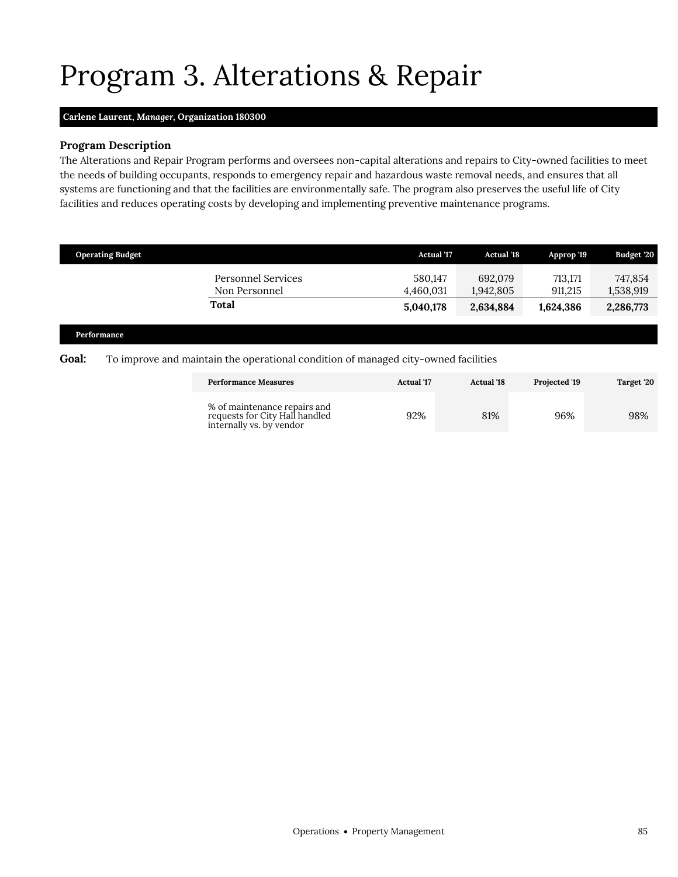## <span id="page-20-0"></span>Program 3. Alterations & Repair

#### **Carlene Laurent,** *Manager,* **Organization 180300**

#### **Program Description**

The Alterations and Repair Program performs and oversees non-capital alterations and repairs to City-owned facilities to meet the needs of building occupants, responds to emergency repair and hazardous waste removal needs, and ensures that all systems are functioning and that the facilities are environmentally safe. The program also preserves the useful life of City facilities and reduces operating costs by developing and implementing preventive maintenance programs.

| <b>Operating Budget</b> |                                     | <b>Actual '17</b>    | <b>Actual</b> '18    | Approp '19         | Budget '20           |
|-------------------------|-------------------------------------|----------------------|----------------------|--------------------|----------------------|
|                         | Personnel Services<br>Non Personnel | 580,147<br>4,460,031 | 692,079<br>1,942,805 | 713,171<br>911.215 | 747,854<br>1,538,919 |
|                         | <b>Total</b>                        | 5,040,178            | 2,634,884            | 1,624,386          | 2,286,773            |
| $\sim$<br>$\sim$        |                                     |                      |                      |                    |                      |

#### **Performance**

#### **Goal:** To improve and maintain the operational condition of managed city-owned facilities

| <b>Performance Measures</b>                                                                | <b>Actual</b> '17 | <b>Actual</b> '18 | <b>Projected '19</b> | Target '20 |
|--------------------------------------------------------------------------------------------|-------------------|-------------------|----------------------|------------|
| % of maintenance repairs and<br>requests for City Hall handled<br>internally vs. by vendor | 92%               | 81%               | 96%                  | 98%        |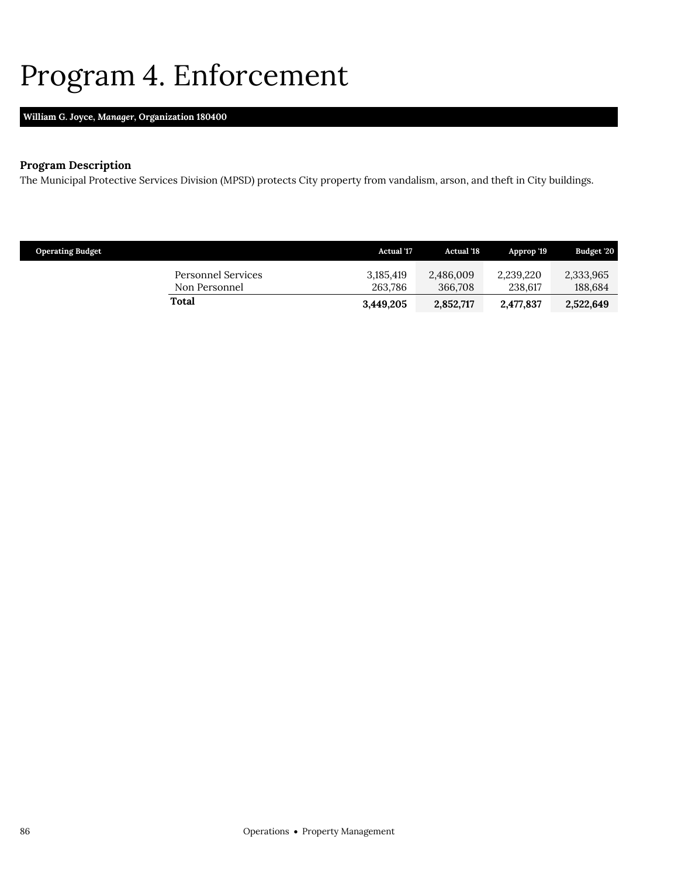## <span id="page-21-0"></span>Program 4. Enforcement

### **William G. Joyce,** *Manager,* **Organization 180400**

### **Program Description**

The Municipal Protective Services Division (MPSD) protects City property from vandalism, arson, and theft in City buildings.

| <b>Operating Budget</b>             | <b>Actual</b> '17    | <b>Actual '18</b>    | Approp '19           | Budget '20           |
|-------------------------------------|----------------------|----------------------|----------------------|----------------------|
| Personnel Services<br>Non Personnel | 3.185.419<br>263.786 | 2,486,009<br>366,708 | 2,239,220<br>238.617 | 2,333,965<br>188,684 |
| Total                               | 3,449,205            | 2,852,717            | 2,477,837            | 2,522,649            |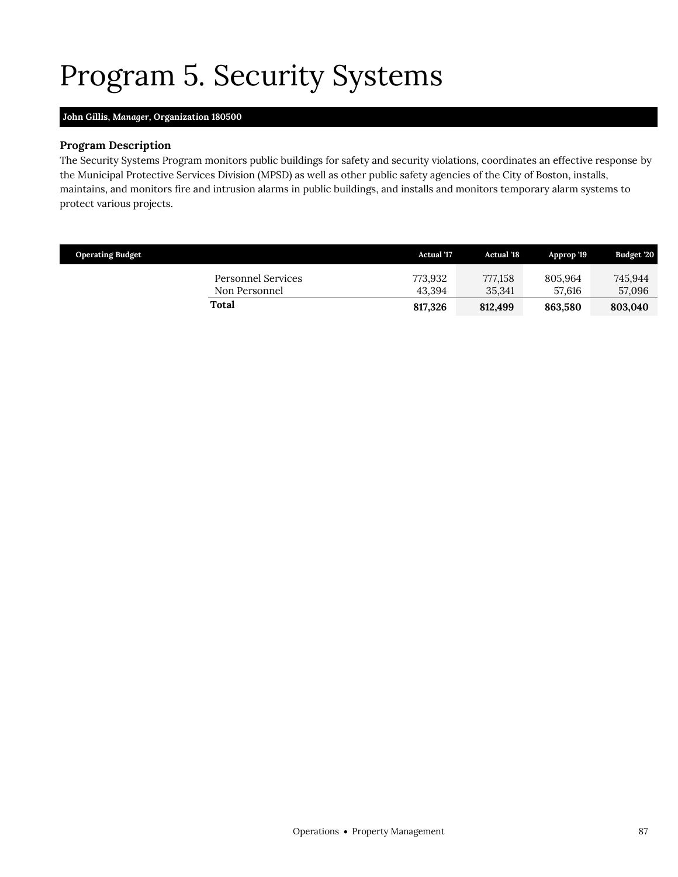# <span id="page-22-0"></span>Program 5. Security Systems

### **John Gillis,** *Manager,* **Organization 180500**

### **Program Description**

The Security Systems Program monitors public buildings for safety and security violations, coordinates an effective response by the Municipal Protective Services Division (MPSD) as well as other public safety agencies of the City of Boston, installs, maintains, and monitors fire and intrusion alarms in public buildings, and installs and monitors temporary alarm systems to protect various projects.

| <b>Operating Budget</b>             | <b>Actual</b> '17 | <b>Actual</b> '18 | Approp '19        | Budget '20        |
|-------------------------------------|-------------------|-------------------|-------------------|-------------------|
| Personnel Services<br>Non Personnel | 773.932<br>43.394 | 777,158<br>35.341 | 805.964<br>57.616 | 745.944<br>57,096 |
| Total                               | 817.326           | 812.499           | 863.580           | 803.040           |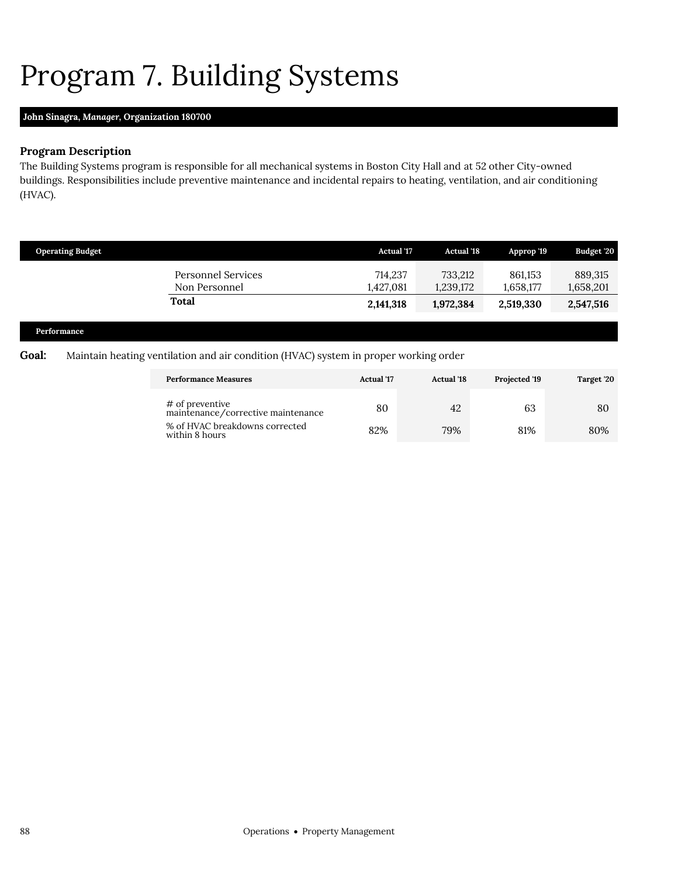# <span id="page-23-0"></span>Program 7. Building Systems

### **John Sinagra,** *Manager,* **Organization 180700**

### **Program Description**

The Building Systems program is responsible for all mechanical systems in Boston City Hall and at 52 other City-owned buildings. Responsibilities include preventive maintenance and incidental repairs to heating, ventilation, and air conditioning (HVAC).

| <b>Operating Budget</b> |                                     | <b>Actual '17</b>    | <b>Actual '18</b>    | Approp '19           | Budget '20           |
|-------------------------|-------------------------------------|----------------------|----------------------|----------------------|----------------------|
|                         | Personnel Services<br>Non Personnel | 714,237<br>1,427,081 | 733.212<br>1,239,172 | 861,153<br>1,658,177 | 889,315<br>1,658,201 |
|                         | Total                               | 2,141,318            | 1,972,384            | 2,519,330            | 2,547,516            |
| Performance             |                                     |                      |                      |                      |                      |

### **Goal:** Maintain heating ventilation and air condition (HVAC) system in proper working order

| <b>Performance Measures</b>                           | <b>Actual</b> '17<br><b>Actual</b> '18 |     | Projected '19 | Target '20 |
|-------------------------------------------------------|----------------------------------------|-----|---------------|------------|
| # of preventive<br>maintenance/corrective maintenance | 80                                     | 42  | 63            | 80         |
| % of HVAC breakdowns corrected<br>within 8 hours      | 82%                                    | 79% | 81%           | 80%        |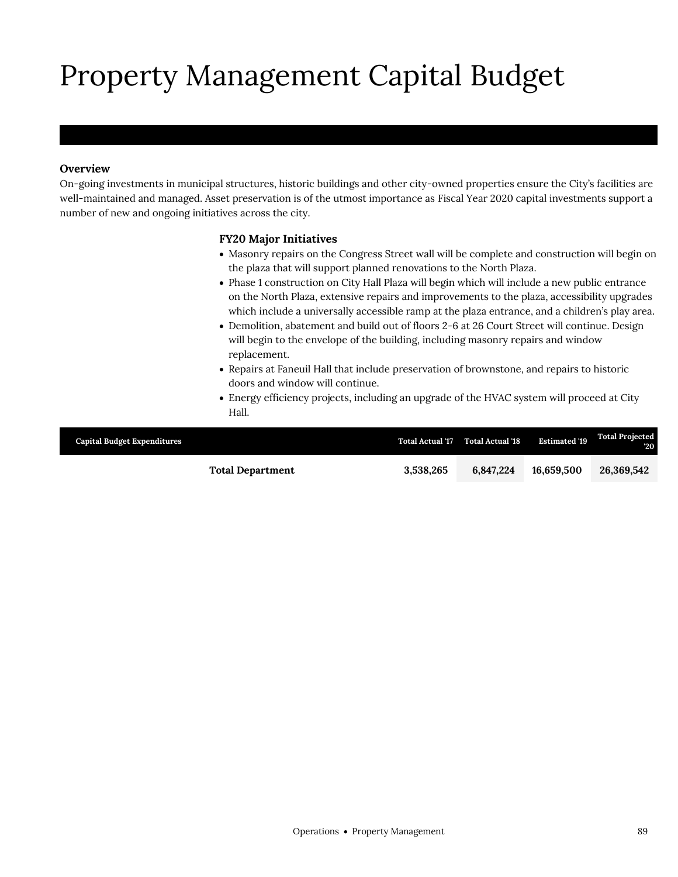# Property Management Capital Budget

### **Overview**

On-going investments in municipal structures, historic buildings and other city-owned properties ensure the City's facilities are well-maintained and managed. Asset preservation is of the utmost importance as Fiscal Year 2020 capital investments support a number of new and ongoing initiatives across the city.

#### **FY20 Major Initiatives**

- Masonry repairs on the Congress Street wall will be complete and construction will begin on the plaza that will support planned renovations to the North Plaza.
- Phase 1 construction on City Hall Plaza will begin which will include a new public entrance on the North Plaza, extensive repairs and improvements to the plaza, accessibility upgrades which include a universally accessible ramp at the plaza entrance, and a children's play area.
- Demolition, abatement and build out of floors 2-6 at 26 Court Street will continue. Design will begin to the envelope of the building, including masonry repairs and window replacement.
- Repairs at Faneuil Hall that include preservation of brownstone, and repairs to historic doors and window will continue.
- Energy efficiency projects, including an upgrade of the HVAC system will proceed at City Hall.

| <b>Capital Budget Expenditures</b> | <b>Total Actual '17</b> | <b>Total Actual '18</b> | <b>Estimated '19</b> | <b>Total Projected</b><br>$20^{\circ}$ |
|------------------------------------|-------------------------|-------------------------|----------------------|----------------------------------------|
| <b>Total Department</b>            | 3,538,265               | 6.847.224               | 16.659.500           | 26,369,542                             |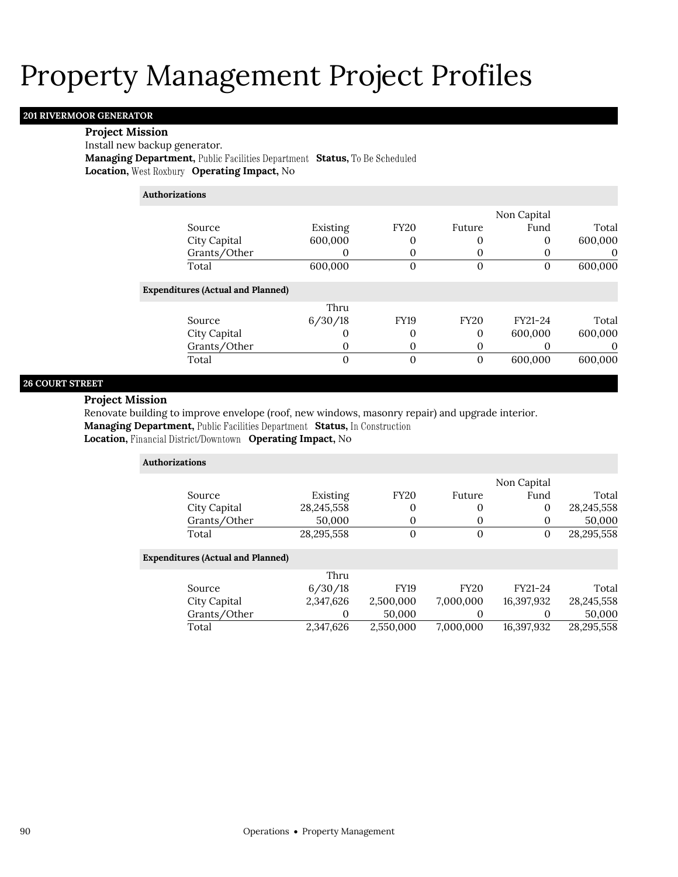#### **201 RIVERMOOR GENERATOR**

#### **Project Mission**

Install new backup generator.

**Managing Department, Public Facilities Department Status, To Be Scheduled Location, West Roxbury Operating Impact, No** 

**Authorizations**

|                                          |          |                |             | Non Capital |          |
|------------------------------------------|----------|----------------|-------------|-------------|----------|
| Source                                   | Existing | <b>FY20</b>    | Future      | Fund        | Total    |
| City Capital                             | 600,000  | 0              |             | 0           | 600,000  |
| Grants/Other                             |          | 0              |             |             | O        |
| Total                                    | 600,000  | $\overline{0}$ | 0           | 0           | 600,000  |
| <b>Expenditures (Actual and Planned)</b> |          |                |             |             |          |
|                                          | Thru     |                |             |             |          |
| Source                                   | 6/30/18  | <b>FY19</b>    | <b>FY20</b> | FY21-24     | Total    |
| City Capital                             |          | $\Omega$       | 0           | 600,000     | 600,000  |
| Grants/Other                             | O        | 0              |             |             | $\theta$ |
| Total                                    |          | 0              |             | 600,000     | 600,000  |

#### **26 COURT STREET**

#### **Project Mission**

Renovate building to improve envelope (roof, new windows, masonry repair) and upgrade interior. **Managing Department, Public Facilities Department Status, In Construction Location, Financial District/Downtown Operating Impact, No** 

| <b>Authorizations</b>                    |            |             |             |              |              |
|------------------------------------------|------------|-------------|-------------|--------------|--------------|
|                                          |            |             |             | Non Capital  |              |
| Source                                   | Existing   | <b>FY20</b> | Future      | Fund         | Total        |
| City Capital                             | 28,245,558 | 0           | 0           | $\mathbf{0}$ | 28, 245, 558 |
| Grants/Other                             | 50,000     | 0           |             | $\theta$     | 50,000       |
| Total                                    | 28,295,558 | $\Omega$    | $\Omega$    | $\Omega$     | 28,295,558   |
| <b>Expenditures (Actual and Planned)</b> |            |             |             |              |              |
|                                          | Thru       |             |             |              |              |
| Source                                   | 6/30/18    | <b>FY19</b> | <b>FY20</b> | FY21-24      | Total        |
| City Capital                             | 2,347,626  | 2,500,000   | 7,000,000   | 16,397,932   | 28,245,558   |
| Grants/Other                             | 0          | 50,000      |             | $\theta$     | 50,000       |
| Total                                    | 2,347,626  | 2,550,000   | 7,000,000   | 16,397,932   | 28,295,558   |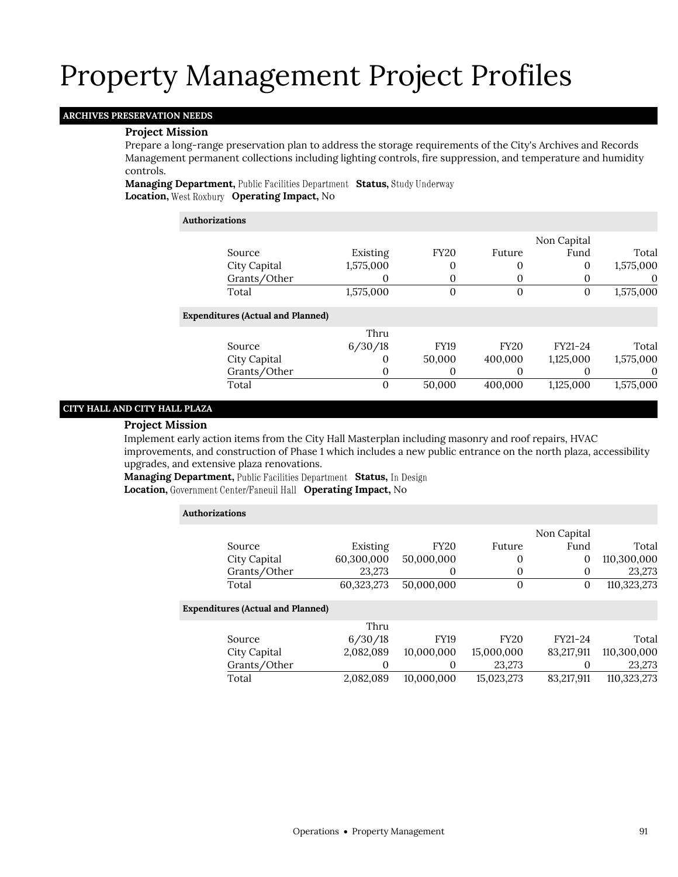### **ARCHIVES PRESERVATION NEEDS**

### **Project Mission**

Prepare a long-range preservation plan to address the storage requirements of the City's Archives and Records Management permanent collections including lighting controls, fire suppression, and temperature and humidity controls.

**Managing Department, Public Facilities Department Status, Study Underway Location, West Roxbury Operating Impact, No** 

| <b>Authorizations</b>                    |           |                |             |             |           |
|------------------------------------------|-----------|----------------|-------------|-------------|-----------|
|                                          |           |                |             | Non Capital |           |
| Source                                   | Existing  | <b>FY20</b>    | Future      | Fund        | Total     |
| City Capital                             | 1,575,000 | 0              | 0           | 0           | 1,575,000 |
| Grants/Other                             | 0         | 0              | 0           | $\theta$    | $\theta$  |
| Total                                    | 1,575,000 | $\overline{0}$ | $\mathbf 0$ | 0           | 1,575,000 |
| <b>Expenditures (Actual and Planned)</b> |           |                |             |             |           |
|                                          | Thru      |                |             |             |           |
| Source                                   | 6/30/18   | <b>FY19</b>    | <b>FY20</b> | FY21-24     | Total     |
| City Capital                             | $\Omega$  | 50,000         | 400,000     | 1,125,000   | 1,575,000 |
| Grants/Other                             | 0         | 0              | 0           | $\theta$    | $\theta$  |
| Total                                    | $\Omega$  | 50,000         | 400,000     | 1,125,000   | 1,575,000 |

### **CITY HALL AND CITY HALL PLAZA**

#### **Project Mission**

Implement early action items from the City Hall Masterplan including masonry and roof repairs, HVAC improvements, and construction of Phase 1 which includes a new public entrance on the north plaza, accessibility upgrades, and extensive plaza renovations.

**Managing Department, Public Facilities Department Status, In Design Location, Operating Impact,** No

| Authorizations |                                          |            |             |              |             |             |
|----------------|------------------------------------------|------------|-------------|--------------|-------------|-------------|
|                |                                          |            |             |              | Non Capital |             |
|                | Source                                   | Existing   | <b>FY20</b> | Future       | Fund        | Total       |
|                | City Capital                             | 60,300,000 | 50,000,000  | 0            | 0           | 110,300,000 |
|                | Grants/Other                             | 23,273     | 0           | $\mathbf{0}$ | 0           | 23,273      |
|                | Total                                    | 60,323,273 | 50,000,000  | $\mathbf 0$  | 0           | 110,323,273 |
|                | <b>Expenditures (Actual and Planned)</b> |            |             |              |             |             |
|                |                                          | Thru       |             |              |             |             |
|                | Source                                   | 6/30/18    | <b>FY19</b> | <b>FY20</b>  | FY21-24     | Total       |
|                | City Capital                             | 2,082,089  | 10,000,000  | 15,000,000   | 83,217,911  | 110,300,000 |
|                | Grants/Other                             | 0          | 0           | 23,273       |             | 23,273      |
|                | Total                                    | 2,082,089  | 10,000,000  | 15,023,273   | 83,217,911  | 110,323,273 |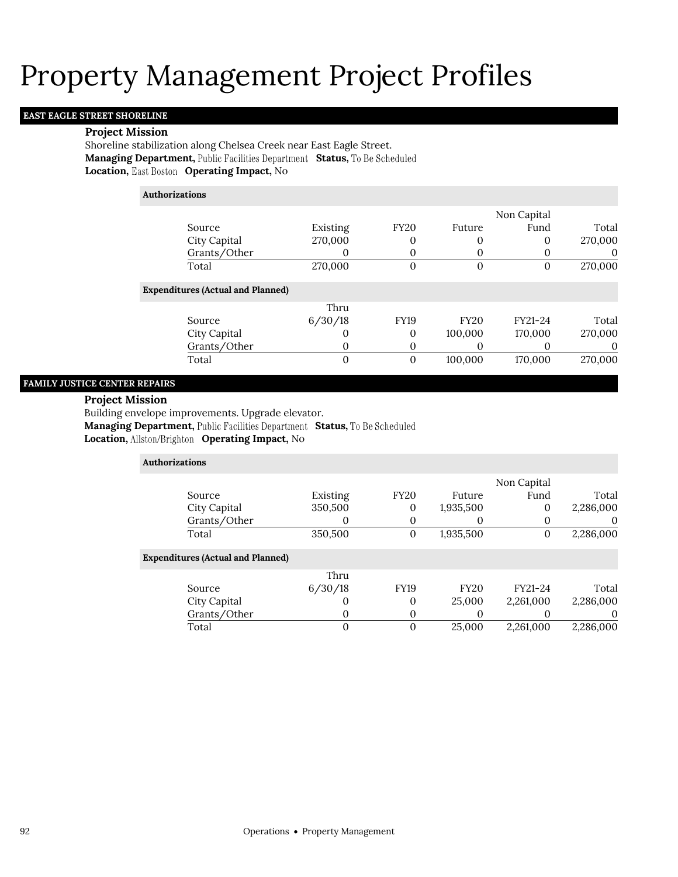### **EAST EAGLE STREET SHORELINE**

#### **Project Mission**

Shoreline stabilization along Chelsea Creek near East Eagle Street. **Managing Department, Public Facilities Department Status, To Be Scheduled Location, East Boston Operating Impact, No** 

| <b>Authorizations</b>                    |          |             |             |             |         |
|------------------------------------------|----------|-------------|-------------|-------------|---------|
|                                          |          |             |             | Non Capital |         |
| Source                                   | Existing | <b>FY20</b> | Future      | Fund        | Total   |
| City Capital                             | 270,000  | 0           | 0           | 0           | 270,000 |
| Grants/Other                             |          | 0           | 0           | 0           | 0       |
| Total                                    | 270,000  | 0           | $\Omega$    | $\Omega$    | 270,000 |
| <b>Expenditures (Actual and Planned)</b> |          |             |             |             |         |
|                                          | Thru     |             |             |             |         |
| Source                                   | 6/30/18  | <b>FY19</b> | <b>FY20</b> | FY21-24     | Total   |
| City Capital                             |          | 0           | 100,000     | 170,000     | 270,000 |
| Grants/Other                             |          | 0           | 0           | 0           | 0       |
| Total                                    | $\Omega$ | $\Omega$    | 100,000     | 170,000     | 270,000 |

### **FAMILY JUSTICE CENTER REPAIRS**

#### **Project Mission**

Building envelope improvements. Upgrade elevator.

**Managing Department, Public Facilities Department Status, To Be Scheduled** 

**Location, Operating Impact,** No

| <b>Authorizations</b>                    |          |                |             |              |           |
|------------------------------------------|----------|----------------|-------------|--------------|-----------|
|                                          |          |                |             | Non Capital  |           |
| Source                                   | Existing | <b>FY20</b>    | Future      | Fund         | Total     |
| City Capital                             | 350,500  | $\mathbf 0$    | 1,935,500   | $\mathbf{0}$ | 2,286,000 |
| Grants/Other                             |          | 0              | O           | $\theta$     | $\theta$  |
| Total                                    | 350,500  | $\mathbf{0}$   | 1,935,500   | $\mathbf{0}$ | 2,286,000 |
| <b>Expenditures (Actual and Planned)</b> |          |                |             |              |           |
|                                          | Thru     |                |             |              |           |
| Source                                   | 6/30/18  | <b>FY19</b>    | <b>FY20</b> | FY21-24      | Total     |
| City Capital                             | $\theta$ | 0              | 25,000      | 2,261,000    | 2,286,000 |
| Grants/Other                             | O        | $\mathbf{0}$   |             | O            | $\theta$  |
| Total                                    | 0        | $\overline{0}$ | 25,000      | 2,261,000    | 2,286,000 |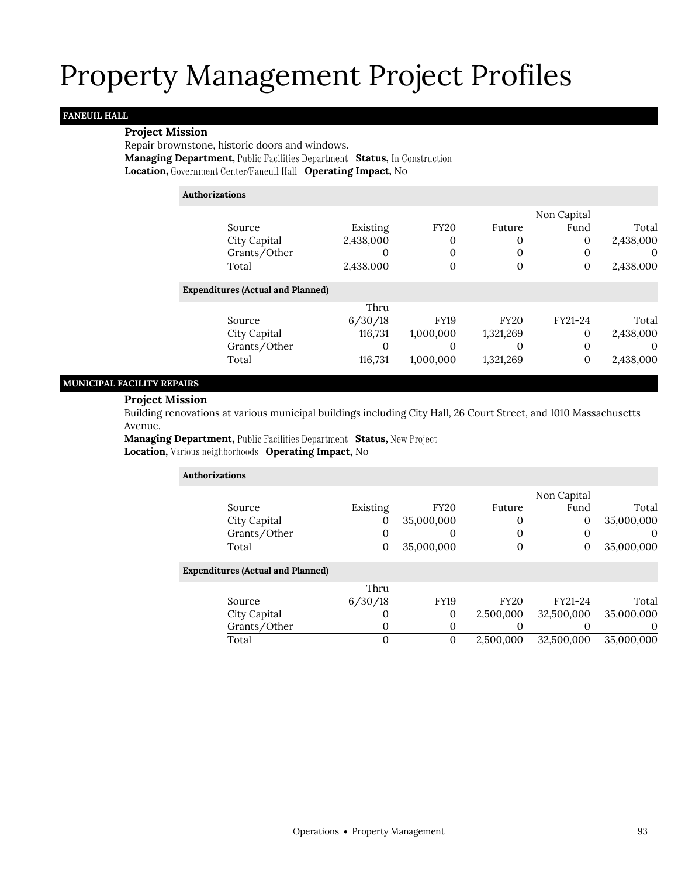### **FANEUIL HALL**

#### **Project Mission**

Repair brownstone, historic doors and windows. **Managing Department, Public Facilities Department Status, In Construction Location, Operating Impact,** No

#### **Authorizations**

|                                          |                   |             |             | Non Capital |           |
|------------------------------------------|-------------------|-------------|-------------|-------------|-----------|
| Source                                   | Existing          | <b>FY20</b> | Future      | Fund        | Total     |
| City Capital                             | 2,438,000         | 0           | 0           | 0           | 2,438,000 |
| Grants/Other                             |                   | 0           |             |             | $\theta$  |
| Total                                    | 2,438,000         | 0           | $\Omega$    | 0           | 2,438,000 |
| <b>Expenditures (Actual and Planned)</b> |                   |             |             |             |           |
|                                          | Thru              |             |             |             |           |
| Source                                   | 6/30/18           | <b>FY19</b> | <b>FY20</b> | FY21-24     | Total     |
| City Capital                             | 116,731           | 1,000,000   | 1,321,269   | 0           | 2,438,000 |
| Grants/Other                             | $\mathbf{\Omega}$ | 0           | $\theta$    |             |           |
| Total                                    | 116,731           | 1,000,000   | 1,321,269   |             | 2,438,000 |

#### **MUNICIPAL FACILITY REPAIRS**

#### **Project Mission**

Building renovations at various municipal buildings including City Hall, 26 Court Street, and 1010 Massachusetts Avenue.

**Managing Department, Public Facilities Department Status, New Project Location, Various neighborhoods Operating Impact, No** 

| Authorizations                           |          |             |             |              |            |
|------------------------------------------|----------|-------------|-------------|--------------|------------|
|                                          |          |             |             | Non Capital  |            |
| Source                                   | Existing | <b>FY20</b> | Future      | Fund         | Total      |
| City Capital                             | $\theta$ | 35,000,000  | 0           | $\mathbf{0}$ | 35,000,000 |
| Grants/Other                             |          | O           | $\theta$    |              | $\theta$   |
| Total                                    | 0        | 35,000,000  | $\Omega$    | $\theta$     | 35,000,000 |
| <b>Expenditures (Actual and Planned)</b> |          |             |             |              |            |
|                                          | Thru     |             |             |              |            |
| Source                                   | 6/30/18  | <b>FY19</b> | <b>FY20</b> | FY21-24      | Total      |
| City Capital                             | $\theta$ | $\theta$    | 2,500,000   | 32,500,000   | 35,000,000 |
| Grants/Other                             | O        | 0           |             |              | $\theta$   |
| Total                                    | 0        | 0           | 2,500,000   | 32,500,000   | 35,000,000 |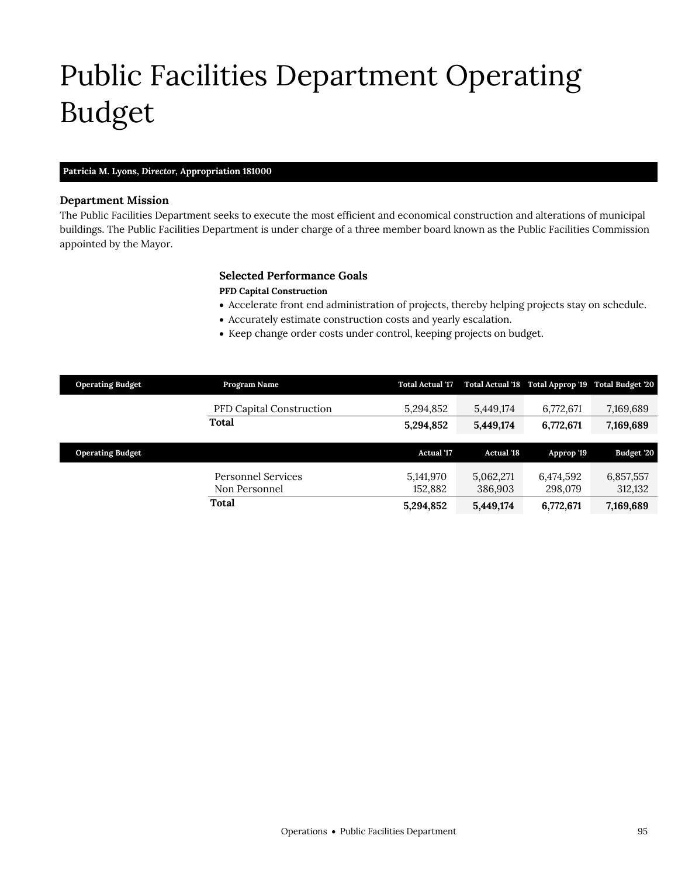# <span id="page-30-0"></span>Public Facilities Department Operating Budget

#### **Patricia M. Lyons,** *Director,* **Appropriation 181000**

#### **Department Mission**

Public Facilities Department

The Public Facilities Department seeks to execute the most efficient and economical construction and alterations of municipal buildings. The Public Facilities Department is under charge of a three member board known as the Public Facilities Commission appointed by the Mayor.

#### **Selected Performance Goals**

#### **PFD Capital Construction**

- Accelerate front end administration of projects, thereby helping projects stay on schedule.
- Accurately estimate construction costs and yearly escalation.
- Keep change order costs under control, keeping projects on budget.

| <b>Operating Budget</b> | Program Name                        | <b>Total Actual '17</b> |                      | Total Actual '18 Total Approp '19 Total Budget '20 |                      |
|-------------------------|-------------------------------------|-------------------------|----------------------|----------------------------------------------------|----------------------|
|                         | <b>PFD Capital Construction</b>     | 5,294,852               | 5,449,174            | 6,772,671                                          | 7,169,689            |
|                         | Total                               | 5,294,852               | 5,449,174            | 6,772,671                                          | 7,169,689            |
|                         |                                     |                         |                      |                                                    |                      |
| <b>Operating Budget</b> |                                     | <b>Actual</b> '17       | <b>Actual '18</b>    | Approp '19                                         | Budget '20           |
|                         | Personnel Services<br>Non Personnel | 5,141,970<br>152,882    | 5,062,271<br>386,903 | 6,474,592<br>298,079                               | 6,857,557<br>312,132 |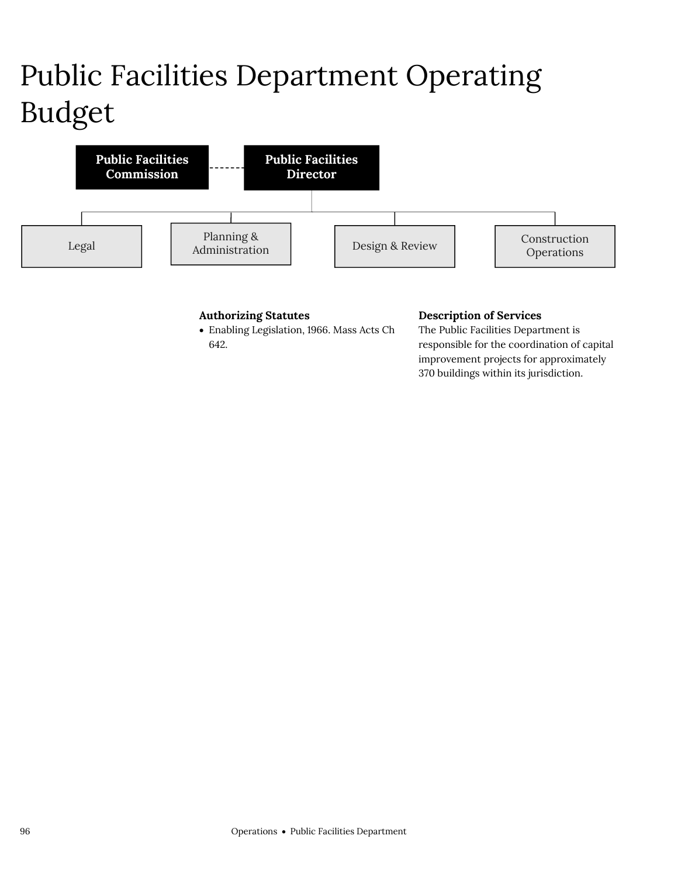# Public Facilities Department Operating Budget



#### **Authorizing Statutes**

 Enabling Legislation, 1966. Mass Acts Ch 642.

#### **Description of Services**

The Public Facilities Department is responsible for the coordination of capital improvement projects for approximately 370 buildings within its jurisdiction.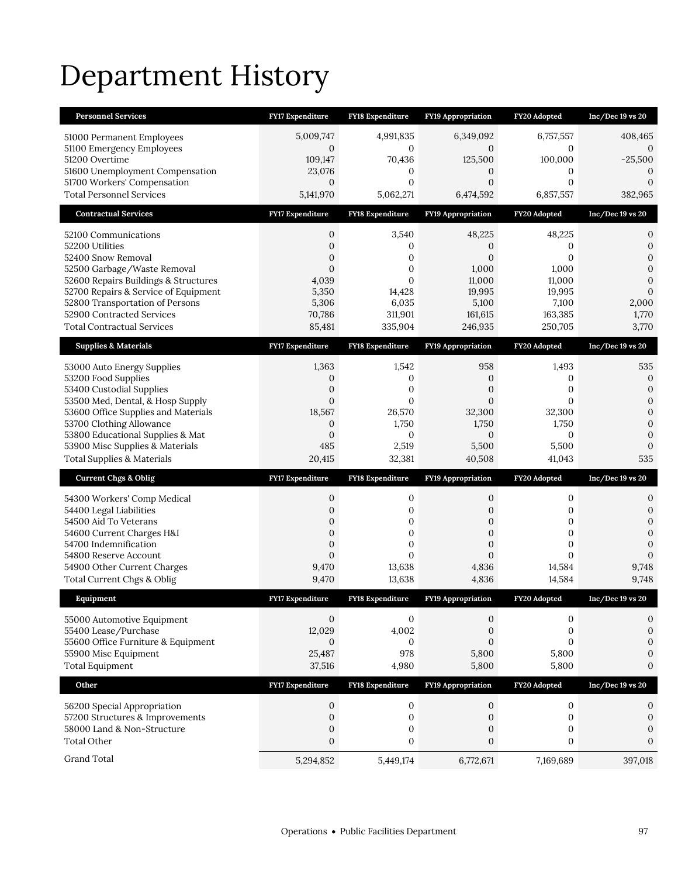# Department History

| <b>Personnel Services</b>                                               | FY17 Expenditure                 | FY18 Expenditure                     | <b>FY19 Appropriation</b> | FY20 Adopted                         | $Inc/Dec$ 19 vs 20                 |
|-------------------------------------------------------------------------|----------------------------------|--------------------------------------|---------------------------|--------------------------------------|------------------------------------|
| 51000 Permanent Employees                                               | 5,009,747                        | 4,991,835                            | 6,349,092                 | 6,757,557                            | 408,465                            |
| 51100 Emergency Employees                                               | $\mathbf{0}$                     | $\mathbf{0}$                         | $\mathbf{0}$              | 0                                    | 0                                  |
| 51200 Overtime                                                          | 109,147                          | 70,436                               | 125,500                   | 100,000                              | $-25,500$                          |
| 51600 Unemployment Compensation<br>51700 Workers' Compensation          | 23,076<br>$\mathbf{0}$           | 0<br>$\mathbf{0}$                    | 0<br>$\mathbf{0}$         | 0<br>$\mathbf{0}$                    | $\mathbf{0}$<br>$\boldsymbol{0}$   |
| <b>Total Personnel Services</b>                                         | 5,141,970                        | 5,062,271                            | 6,474,592                 | 6,857,557                            | 382,965                            |
| <b>Contractual Services</b>                                             | FY17 Expenditure                 | FY18 Expenditure                     | FY19 Appropriation        | FY20 Adopted                         | $Inc/Dec 19$ vs $20$               |
| 52100 Communications                                                    | 0                                | 3,540                                | 48,225                    | 48,225                               | 0                                  |
| 52200 Utilities                                                         | $\boldsymbol{0}$                 | 0                                    | $\mathbf{0}$              | 0                                    | $\boldsymbol{0}$                   |
| 52400 Snow Removal                                                      | 0                                | 0                                    | $\boldsymbol{0}$          | 0                                    | 0                                  |
| 52500 Garbage/Waste Removal                                             | $\mathbf{0}$                     | $\mathbf{0}$                         | 1,000                     | 1,000                                | $\boldsymbol{0}$                   |
| 52600 Repairs Buildings & Structures                                    | 4,039                            | $\mathbf{0}$                         | 11,000                    | 11,000                               | $\overline{0}$                     |
| 52700 Repairs & Service of Equipment<br>52800 Transportation of Persons | 5,350<br>5,306                   | 14,428<br>6,035                      | 19,995<br>5,100           | 19,995<br>7,100                      | $\mathbf{0}$<br>2,000              |
| 52900 Contracted Services                                               | 70,786                           | 311,901                              | 161,615                   | 163,385                              | 1,770                              |
| <b>Total Contractual Services</b>                                       | 85,481                           | 335,904                              | 246,935                   | 250,705                              | 3,770                              |
| <b>Supplies &amp; Materials</b>                                         | <b>FY17 Expenditure</b>          | <b>FY18 Expenditure</b>              | <b>FY19 Appropriation</b> | FY20 Adopted                         | $Inc/Dec 19$ vs $20$               |
| 53000 Auto Energy Supplies                                              | 1,363                            | 1,542                                | 958                       | 1,493                                | 535                                |
| 53200 Food Supplies                                                     | 0                                | 0                                    | 0                         | 0                                    | $\boldsymbol{0}$                   |
| 53400 Custodial Supplies                                                | $\mathbf{0}$                     | $\mathbf{0}$                         | $\mathbf{0}$              | 0                                    | $\mathbf{0}$                       |
| 53500 Med, Dental, & Hosp Supply                                        | $\mathbf{0}$                     | $\mathbf{0}$                         | $\mathbf{0}$              | 0                                    | $\boldsymbol{0}$                   |
| 53600 Office Supplies and Materials                                     | 18,567                           | 26,570                               | 32,300                    | 32,300                               | $\overline{0}$                     |
| 53700 Clothing Allowance<br>53800 Educational Supplies & Mat            | $\mathbf{0}$<br>$\mathbf{0}$     | 1,750<br>0                           | 1,750<br>$\mathbf{0}$     | 1,750<br>0                           | $\overline{0}$<br>$\boldsymbol{0}$ |
|                                                                         |                                  |                                      |                           |                                      |                                    |
|                                                                         |                                  |                                      |                           |                                      |                                    |
| 53900 Misc Supplies & Materials                                         | 485                              | 2,519                                | 5,500                     | 5,500                                | $\mathbf{0}$<br>535                |
| <b>Total Supplies &amp; Materials</b>                                   | 20,415                           | 32,381                               | 40,508                    | 41,043                               |                                    |
| <b>Current Chgs &amp; Oblig</b>                                         | <b>FY17 Expenditure</b>          | <b>FY18 Expenditure</b>              | <b>FY19 Appropriation</b> | FY20 Adopted                         | $Inc/Dec 19$ vs $20$               |
| 54300 Workers' Comp Medical                                             | 0                                | 0                                    | 0                         | 0                                    | 0                                  |
| 54400 Legal Liabilities                                                 | $\mathbf{0}$                     | 0                                    | 0                         | 0                                    | 0                                  |
| 54500 Aid To Veterans                                                   | $\boldsymbol{0}$<br>$\mathbf{0}$ | $\boldsymbol{0}$                     | 0<br>$\overline{0}$       | $\boldsymbol{0}$                     | $\boldsymbol{0}$<br>$\overline{0}$ |
| 54600 Current Charges H&I<br>54700 Indemnification                      | $\mathbf{0}$                     | $\boldsymbol{0}$<br>$\boldsymbol{0}$ | $\mathbf{0}$              | $\boldsymbol{0}$<br>$\boldsymbol{0}$ | $\overline{0}$                     |
| 54800 Reserve Account                                                   | $\mathbf{0}$                     | $\Omega$                             | $\overline{0}$            | $\Omega$                             | $\mathbf{0}$                       |
| 54900 Other Current Charges                                             | 9,470                            | 13,638                               | 4,836                     | 14,584                               | 9,748                              |
| Total Current Chgs & Oblig                                              | 9,470                            | 13,638                               | 4,836                     | 14,584                               | 9,748                              |
| Equipment                                                               | <b>FY17 Expenditure</b>          | <b>FY18 Expenditure</b>              | <b>FY19 Appropriation</b> | FY20 Adopted                         | Inc/Dec 19 vs 20                   |
| 55000 Automotive Equipment                                              | $\mathbf{0}$                     | 0                                    | 0                         | 0                                    | 0                                  |
| 55400 Lease/Purchase                                                    | 12,029                           | 4,002                                | 0                         | 0                                    | $\boldsymbol{0}$                   |
| 55600 Office Furniture & Equipment                                      | $\mathbf{0}$                     | 0                                    | $\overline{0}$            | $\overline{0}$                       | $\boldsymbol{0}$                   |
| 55900 Misc Equipment                                                    | 25,487                           | 978                                  | 5,800                     | 5,800                                | 0                                  |
| <b>Total Equipment</b>                                                  | 37,516                           | 4,980                                | 5,800                     | 5,800                                | 0                                  |
| Other                                                                   | FY17 Expenditure                 | FY18 Expenditure                     | FY19 Appropriation        | FY20 Adopted                         | $Inc/Dec 19$ vs $20$               |
| 56200 Special Appropriation                                             | 0                                | 0                                    | 0                         | 0                                    | 0                                  |
| 57200 Structures & Improvements                                         | 0                                | $\boldsymbol{0}$                     | 0                         | 0                                    | $\boldsymbol{0}$                   |
| 58000 Land & Non-Structure                                              | $\mathbf{0}$                     | 0                                    | 0                         | 0                                    | $\boldsymbol{0}$                   |
| <b>Total Other</b><br>Grand Total                                       | $\boldsymbol{0}$                 | $\boldsymbol{0}$                     | $\boldsymbol{0}$          | $\boldsymbol{0}$                     | $\mathbf{0}$                       |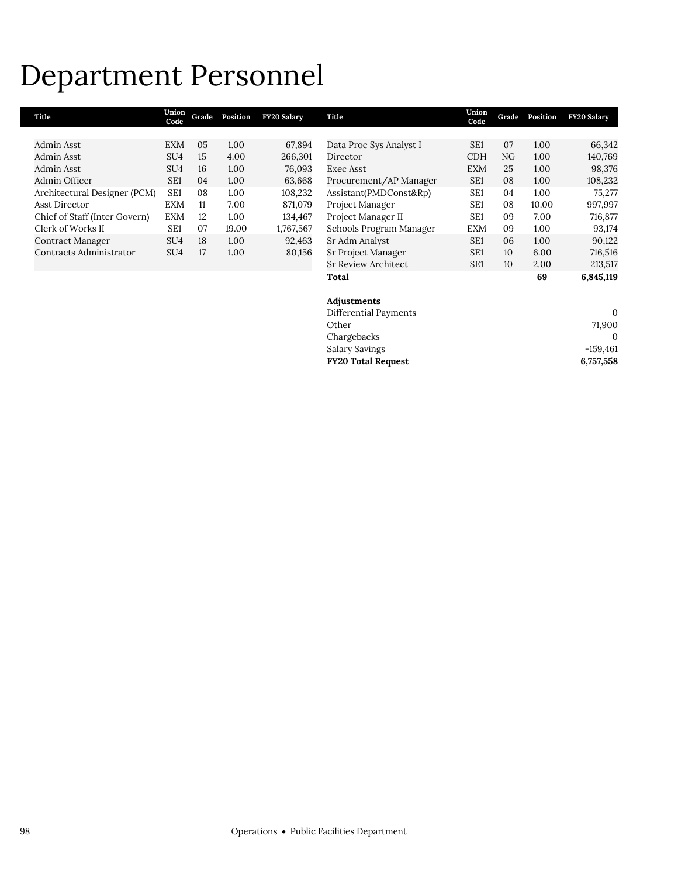## Department Personnel

| Title                         | Union<br>Code   | Grade | Position | <b>FY20 Salary</b> | Title                   | Union<br>Code   | Grade           | Position | <b>FY20 Salary</b> |
|-------------------------------|-----------------|-------|----------|--------------------|-------------------------|-----------------|-----------------|----------|--------------------|
| Admin Asst                    | <b>EXM</b>      | 05    | 1.00     | 67,894             | Data Proc Sys Analyst I | SE <sub>1</sub> | 07              | 1.00     | 66,342             |
| Admin Asst                    | SU <sub>4</sub> | 15    | 4.00     | 266,301            | Director                | <b>CDH</b>      | NG              | 1.00     | 140,769            |
| Admin Asst                    | SU <sub>4</sub> | 16    | 1.00     | 76,093             | Exec Asst               | <b>EXM</b>      | 25              | 1.00     | 98,376             |
| Admin Officer                 | SE <sub>1</sub> | 04    | 1.00     | 63,668             | Procurement/AP Manager  | SE <sub>1</sub> | 08              | 1.00     | 108,232            |
| Architectural Designer (PCM)  | SE <sub>1</sub> | 08    | 1.00     | 108,232            | Assistant(PMDConst&Rp)  | SE <sub>1</sub> | 04              | 1.00     | 75,277             |
| Asst Director                 | <b>EXM</b>      | 11    | 7.00     | 871,079            | Project Manager         | SE <sub>1</sub> | 08              | 10.00    | 997,997            |
| Chief of Staff (Inter Govern) | <b>EXM</b>      | 12    | 1.00     | 134,467            | Project Manager II      | SE <sub>1</sub> | 09              | 7.00     | 716,877            |
| Clerk of Works II             | SE <sub>1</sub> | 07    | 19.00    | 1,767,567          | Schools Program Manager | <b>EXM</b>      | 09              | 1.00     | 93,174             |
| Contract Manager              | SU <sub>4</sub> | 18    | 1.00     | 92,463             | Sr Adm Analyst          | SE <sub>1</sub> | 06              | 1.00     | 90,122             |
| Contracts Administrator       | SU <sub>4</sub> | 17    | 1.00     | 80,156             | Sr Project Manager      | SE <sub>1</sub> | 10 <sup>2</sup> | 6.00     | 716,516            |
|                               |                 |       |          |                    | Sr Review Architect     | SE <sub>1</sub> | 10 <sup>2</sup> | 2.00     | 213,517            |
|                               |                 |       |          |                    | Total                   |                 |                 | 69       | 6,845,119          |
|                               |                 |       |          |                    | Adjustments             |                 |                 |          |                    |
|                               |                 |       |          |                    | Differential Payments   |                 |                 |          | $\mathbf{0}$       |
|                               |                 |       |          |                    | Other                   |                 |                 |          | 71,900             |

**FY20 Total Request 6,757,558**

Chargebacks 0 Salary Savings -159,461<br>FY20 Total Request 6,757,558